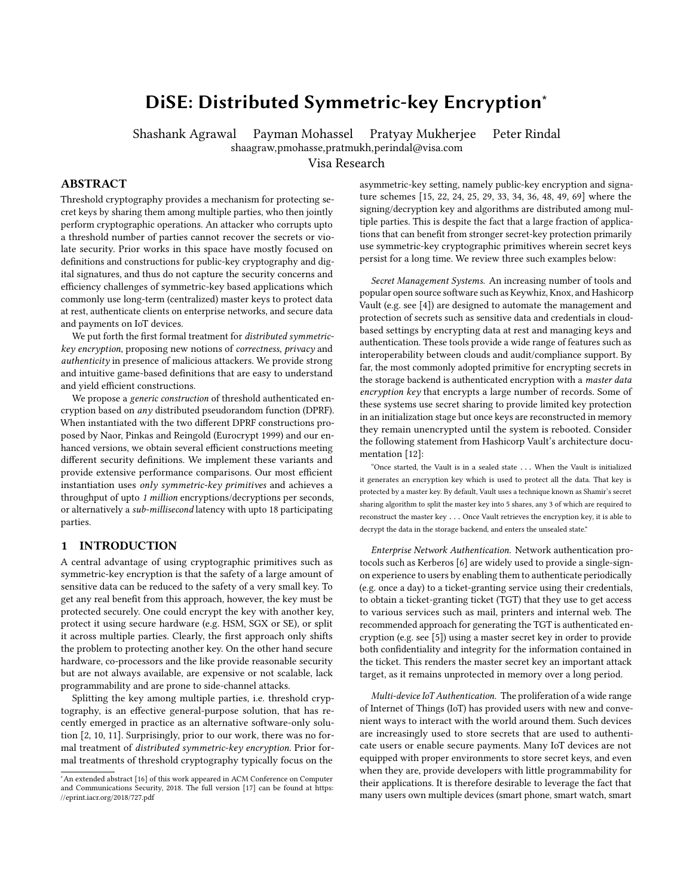# DiSE: Distributed Symmetric-key Encryption<sup>\*</sup>

Shashank Agrawal Payman Mohassel Pratyay Mukherjee Peter Rindal shaagraw,pmohasse,pratmukh,perindal@visa.com

Visa Research

# ABSTRACT

Threshold cryptography provides a mechanism for protecting secret keys by sharing them among multiple parties, who then jointly perform cryptographic operations. An attacker who corrupts upto a threshold number of parties cannot recover the secrets or violate security. Prior works in this space have mostly focused on definitions and constructions for public-key cryptography and digital signatures, and thus do not capture the security concerns and efficiency challenges of symmetric-key based applications which commonly use long-term (centralized) master keys to protect data at rest, authenticate clients on enterprise networks, and secure data and payments on IoT devices.

We put forth the first formal treatment for distributed symmetrickey encryption, proposing new notions of correctness, privacy and authenticity in presence of malicious attackers. We provide strong and intuitive game-based definitions that are easy to understand and yield efficient constructions.

We propose a generic construction of threshold authenticated encryption based on any distributed pseudorandom function (DPRF). When instantiated with the two different DPRF constructions proposed by Naor, Pinkas and Reingold (Eurocrypt 1999) and our enhanced versions, we obtain several efficient constructions meeting different security definitions. We implement these variants and provide extensive performance comparisons. Our most efficient instantiation uses only symmetric-key primitives and achieves a throughput of upto 1 million encryptions/decryptions per seconds, or alternatively a sub-millisecond latency with upto 18 participating parties.

# <span id="page-0-0"></span>1 INTRODUCTION

A central advantage of using cryptographic primitives such as symmetric-key encryption is that the safety of a large amount of sensitive data can be reduced to the safety of a very small key. To get any real benefit from this approach, however, the key must be protected securely. One could encrypt the key with another key, protect it using secure hardware (e.g. HSM, SGX or SE), or split it across multiple parties. Clearly, the first approach only shifts the problem to protecting another key. On the other hand secure hardware, co-processors and the like provide reasonable security but are not always available, are expensive or not scalable, lack programmability and are prone to side-channel attacks.

Splitting the key among multiple parties, i.e. threshold cryptography, is an effective general-purpose solution, that has recently emerged in practice as an alternative software-only solution [\[2,](#page-13-0) [10,](#page-13-1) [11\]](#page-13-2). Surprisingly, prior to our work, there was no formal treatment of distributed symmetric-key encryption. Prior formal treatments of threshold cryptography typically focus on the

asymmetric-key setting, namely public-key encryption and signature schemes [\[15,](#page-13-5) [22,](#page-14-0) [24,](#page-14-1) [25,](#page-14-2) [29,](#page-14-3) [33,](#page-14-4) [34,](#page-14-5) [36,](#page-14-6) [48,](#page-14-7) [49,](#page-14-8) [69\]](#page-14-9) where the signing/decryption key and algorithms are distributed among multiple parties. This is despite the fact that a large fraction of applications that can benefit from stronger secret-key protection primarily use symmetric-key cryptographic primitives wherein secret keys persist for a long time. We review three such examples below:

Secret Management Systems. An increasing number of tools and popular open source software such as Keywhiz, Knox, and Hashicorp Vault (e.g. see [\[4\]](#page-13-6)) are designed to automate the management and protection of secrets such as sensitive data and credentials in cloudbased settings by encrypting data at rest and managing keys and authentication. These tools provide a wide range of features such as interoperability between clouds and audit/compliance support. By far, the most commonly adopted primitive for encrypting secrets in the storage backend is authenticated encryption with a *master data* encryption key that encrypts a large number of records. Some of these systems use secret sharing to provide limited key protection in an initialization stage but once keys are reconstructed in memory they remain unencrypted until the system is rebooted. Consider the following statement from Hashicorp Vault's architecture documentation [\[12\]](#page-13-7):

"Once started, the Vault is in a sealed state . . . When the Vault is initialized it generates an encryption key which is used to protect all the data. That key is protected by a master key. By default, Vault uses a technique known as Shamir's secret sharing algorithm to split the master key into 5 shares, any 3 of which are required to reconstruct the master key . . . Once Vault retrieves the encryption key, it is able to decrypt the data in the storage backend, and enters the unsealed state."

Enterprise Network Authentication. Network authentication protocols such as Kerberos [\[6\]](#page-13-8) are widely used to provide a single-signon experience to users by enabling them to authenticate periodically (e.g. once a day) to a ticket-granting service using their credentials, to obtain a ticket-granting ticket (TGT) that they use to get access to various services such as mail, printers and internal web. The recommended approach for generating the TGT is authenticated encryption (e.g. see [\[5\]](#page-13-9)) using a master secret key in order to provide both confidentiality and integrity for the information contained in the ticket. This renders the master secret key an important attack target, as it remains unprotected in memory over a long period.

Multi-device IoT Authentication. The proliferation of a wide range of Internet of Things (IoT) has provided users with new and convenient ways to interact with the world around them. Such devices are increasingly used to store secrets that are used to authenticate users or enable secure payments. Many IoT devices are not equipped with proper environments to store secret keys, and even when they are, provide developers with little programmability for their applications. It is therefore desirable to leverage the fact that many users own multiple devices (smart phone, smart watch, smart

<sup>∗</sup>An extended abstract [\[16\]](#page-13-3) of this work appeared in ACM Conference on Computer and Communications Security, 2018. The full version [\[17\]](#page-13-4) can be found at [https:](https://eprint.iacr.org/2018/727.pdf) [//eprint.iacr.org/2018/727.pdf](https://eprint.iacr.org/2018/727.pdf)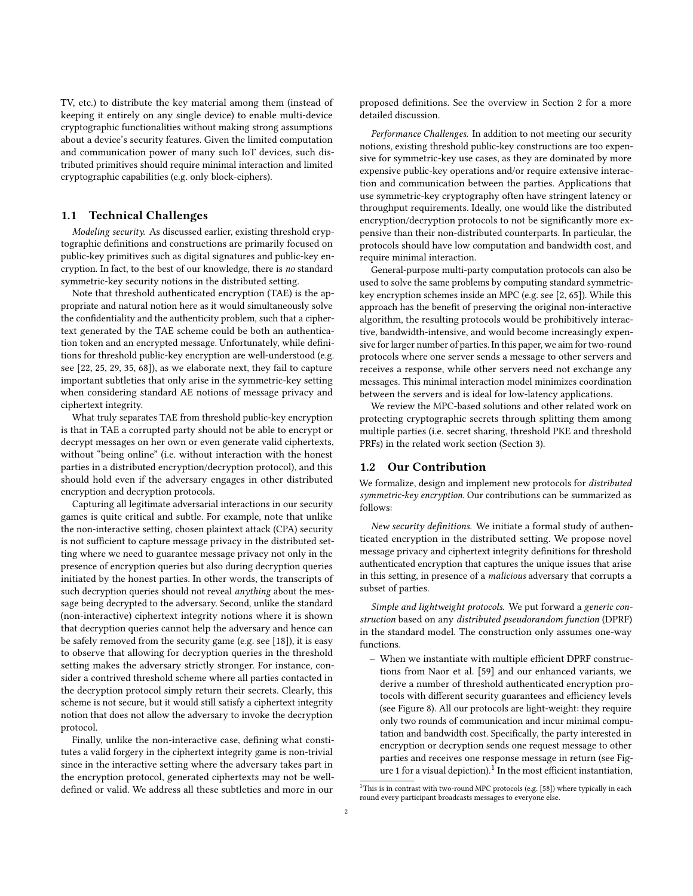TV, etc.) to distribute the key material among them (instead of keeping it entirely on any single device) to enable multi-device cryptographic functionalities without making strong assumptions about a device's security features. Given the limited computation and communication power of many such IoT devices, such distributed primitives should require minimal interaction and limited cryptographic capabilities (e.g. only block-ciphers).

# 1.1 Technical Challenges

Modeling security. As discussed earlier, existing threshold cryptographic definitions and constructions are primarily focused on public-key primitives such as digital signatures and public-key encryption. In fact, to the best of our knowledge, there is no standard symmetric-key security notions in the distributed setting.

Note that threshold authenticated encryption (TAE) is the appropriate and natural notion here as it would simultaneously solve the confidentiality and the authenticity problem, such that a ciphertext generated by the TAE scheme could be both an authentication token and an encrypted message. Unfortunately, while definitions for threshold public-key encryption are well-understood (e.g. see [\[22,](#page-14-0) [25,](#page-14-2) [29,](#page-14-3) [35,](#page-14-10) [68\]](#page-14-11)), as we elaborate next, they fail to capture important subtleties that only arise in the symmetric-key setting when considering standard AE notions of message privacy and ciphertext integrity.

What truly separates TAE from threshold public-key encryption is that in TAE a corrupted party should not be able to encrypt or decrypt messages on her own or even generate valid ciphertexts, without "being online" (i.e. without interaction with the honest parties in a distributed encryption/decryption protocol), and this should hold even if the adversary engages in other distributed encryption and decryption protocols.

Capturing all legitimate adversarial interactions in our security games is quite critical and subtle. For example, note that unlike the non-interactive setting, chosen plaintext attack (CPA) security is not sufficient to capture message privacy in the distributed setting where we need to guarantee message privacy not only in the presence of encryption queries but also during decryption queries initiated by the honest parties. In other words, the transcripts of such decryption queries should not reveal anything about the message being decrypted to the adversary. Second, unlike the standard (non-interactive) ciphertext integrity notions where it is shown that decryption queries cannot help the adversary and hence can be safely removed from the security game (e.g. see [\[18\]](#page-13-10)), it is easy to observe that allowing for decryption queries in the threshold setting makes the adversary strictly stronger. For instance, consider a contrived threshold scheme where all parties contacted in the decryption protocol simply return their secrets. Clearly, this scheme is not secure, but it would still satisfy a ciphertext integrity notion that does not allow the adversary to invoke the decryption protocol.

Finally, unlike the non-interactive case, defining what constitutes a valid forgery in the ciphertext integrity game is non-trivial since in the interactive setting where the adversary takes part in the encryption protocol, generated ciphertexts may not be welldefined or valid. We address all these subtleties and more in our proposed definitions. See the overview in Section [2](#page-2-0) for a more detailed discussion.

Performance Challenges. In addition to not meeting our security notions, existing threshold public-key constructions are too expensive for symmetric-key use cases, as they are dominated by more expensive public-key operations and/or require extensive interaction and communication between the parties. Applications that use symmetric-key cryptography often have stringent latency or throughput requirements. Ideally, one would like the distributed encryption/decryption protocols to not be significantly more expensive than their non-distributed counterparts. In particular, the protocols should have low computation and bandwidth cost, and require minimal interaction.

General-purpose multi-party computation protocols can also be used to solve the same problems by computing standard symmetrickey encryption schemes inside an MPC (e.g. see [\[2,](#page-13-0) [65\]](#page-14-12)). While this approach has the benefit of preserving the original non-interactive algorithm, the resulting protocols would be prohibitively interactive, bandwidth-intensive, and would become increasingly expensive for larger number of parties. In this paper, we aim for two-round protocols where one server sends a message to other servers and receives a response, while other servers need not exchange any messages. This minimal interaction model minimizes coordination between the servers and is ideal for low-latency applications.

We review the MPC-based solutions and other related work on protecting cryptographic secrets through splitting them among multiple parties (i.e. secret sharing, threshold PKE and threshold PRFs) in the related work section (Section [3\)](#page-5-0).

# 1.2 Our Contribution

We formalize, design and implement new protocols for distributed symmetric-key encryption. Our contributions can be summarized as follows:

New security definitions. We initiate a formal study of authenticated encryption in the distributed setting. We propose novel message privacy and ciphertext integrity definitions for threshold authenticated encryption that captures the unique issues that arise in this setting, in presence of a malicious adversary that corrupts a subset of parties.

Simple and lightweight protocols. We put forward a generic construction based on any distributed pseudorandom function (DPRF) in the standard model. The construction only assumes one-way functions.

− When we instantiate with multiple efficient DPRF constructions from Naor et al. [\[59\]](#page-14-13) and our enhanced variants, we derive a number of threshold authenticated encryption protocols with different security guarantees and efficiency levels (see Figure [8\)](#page-12-0). All our protocols are light-weight: they require only two rounds of communication and incur minimal computation and bandwidth cost. Specifically, the party interested in encryption or decryption sends one request message to other parties and receives one response message in return (see Fig- $\frac{1}{1}$  $\frac{1}{1}$  $\frac{1}{1}$  are [1](#page-2-1) for a visual depiction).<sup>1</sup> In the most efficient instantiation.

<span id="page-1-0"></span><sup>&</sup>lt;sup>1</sup>This is in contrast with two-round MPC protocols (e.g. [\[58\]](#page-14-14)) where typically in each round every participant broadcasts messages to everyone else.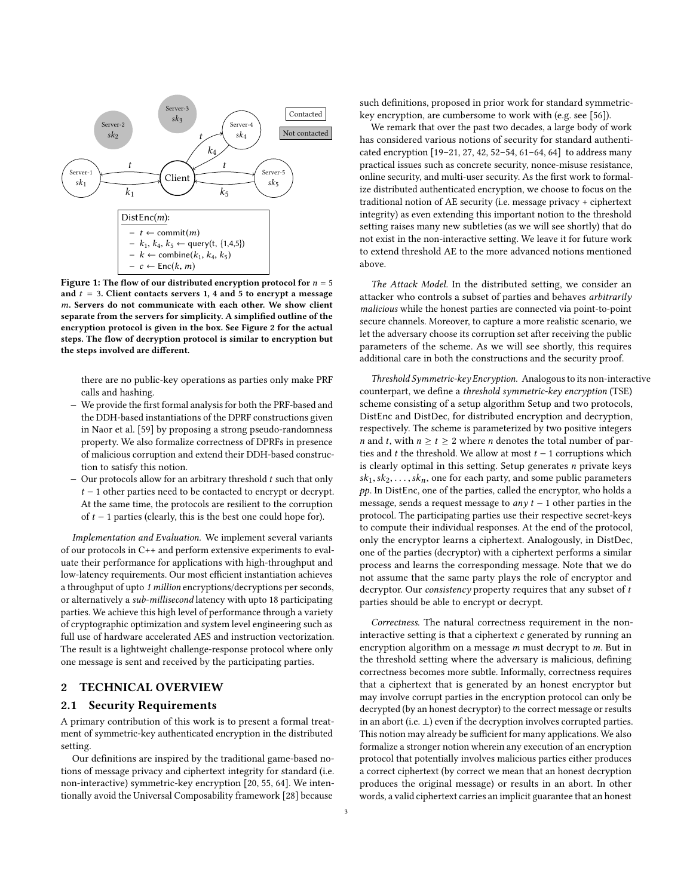<span id="page-2-1"></span>

Figure 1: The flow of our distributed encryption protocol for  $n = 5$ and  $t = 3$ . Client contacts servers 1, 4 and 5 to encrypt a message m. Servers do not communicate with each other. We show client separate from the servers for simplicity. A simplified outline of the encryption protocol is given in the box. See Figure [2](#page-9-0) for the actual steps. The flow of decryption protocol is similar to encryption but the steps involved are different.

there are no public-key operations as parties only make PRF calls and hashing.

- We provide the first formal analysis for both the PRF-based and the DDH-based instantiations of the DPRF constructions given in Naor et al. [\[59\]](#page-14-13) by proposing a strong pseudo-randomness property. We also formalize correctness of DPRFs in presence of malicious corruption and extend their DDH-based construction to satisfy this notion.
- <sup>−</sup> Our protocols allow for an arbitrary threshold t such that only  $t - 1$  other parties need to be contacted to encrypt or decrypt. At the same time, the protocols are resilient to the corruption of  $t$  − 1 parties (clearly, this is the best one could hope for).

Implementation and Evaluation. We implement several variants of our protocols in C++ and perform extensive experiments to evaluate their performance for applications with high-throughput and low-latency requirements. Our most efficient instantiation achieves a throughput of upto 1 million encryptions/decryptions per seconds, or alternatively a sub-millisecond latency with upto 18 participating parties. We achieve this high level of performance through a variety of cryptographic optimization and system level engineering such as full use of hardware accelerated AES and instruction vectorization. The result is a lightweight challenge-response protocol where only one message is sent and received by the participating parties.

# <span id="page-2-0"></span>2 TECHNICAL OVERVIEW

#### <span id="page-2-2"></span>2.1 Security Requirements

A primary contribution of this work is to present a formal treatment of symmetric-key authenticated encryption in the distributed setting.

Our definitions are inspired by the traditional game-based notions of message privacy and ciphertext integrity for standard (i.e. non-interactive) symmetric-key encryption [\[20,](#page-14-15) [55,](#page-14-16) [64\]](#page-14-17). We intentionally avoid the Universal Composability framework [\[28\]](#page-14-18) because

such definitions, proposed in prior work for standard symmetrickey encryption, are cumbersome to work with (e.g. see [\[56\]](#page-14-19)).

We remark that over the past two decades, a large body of work has considered various notions of security for standard authenticated encryption [\[19–](#page-14-20)[21,](#page-14-21) [27,](#page-14-22) [42,](#page-14-23) [52–](#page-14-24)[54,](#page-14-25) [61](#page-14-26)[–64,](#page-14-17) [64\]](#page-14-17) to address many practical issues such as concrete security, nonce-misuse resistance, online security, and multi-user security. As the first work to formalize distributed authenticated encryption, we choose to focus on the traditional notion of AE security (i.e. message privacy + ciphertext integrity) as even extending this important notion to the threshold setting raises many new subtleties (as we will see shortly) that do not exist in the non-interactive setting. We leave it for future work to extend threshold AE to the more advanced notions mentioned above.

The Attack Model. In the distributed setting, we consider an attacker who controls a subset of parties and behaves arbitrarily malicious while the honest parties are connected via point-to-point secure channels. Moreover, to capture a more realistic scenario, we let the adversary choose its corruption set after receiving the public parameters of the scheme. As we will see shortly, this requires additional care in both the constructions and the security proof.

Threshold Symmetric-key Encryption. Analogous to its non-interactive counterpart, we define a threshold symmetric-key encryption (TSE) scheme consisting of a setup algorithm Setup and two protocols, DistEnc and DistDec, for distributed encryption and decryption, respectively. The scheme is parameterized by two positive integers *n* and *t*, with  $n \ge t \ge 2$  where *n* denotes the total number of parties and t the threshold. We allow at most  $t - 1$  corruptions which is clearly optimal in this setting. Setup generates  $n$  private keys  $sk_1, sk_2, \ldots, sk_n$ , one for each party, and some public parameters  $pp$ . In DistEnc, one of the parties, called the encryptor, who holds a message, sends a request message to *any*  $t - 1$  other parties in the protocol. The participating parties use their respective secret-keys to compute their individual responses. At the end of the protocol, only the encryptor learns a ciphertext. Analogously, in DistDec, one of the parties (decryptor) with a ciphertext performs a similar process and learns the corresponding message. Note that we do not assume that the same party plays the role of encryptor and decryptor. Our consistency property requires that any subset of t parties should be able to encrypt or decrypt.

Correctness. The natural correctness requirement in the noninteractive setting is that a ciphertext  $c$  generated by running an encryption algorithm on a message  $m$  must decrypt to  $m$ . But in the threshold setting where the adversary is malicious, defining correctness becomes more subtle. Informally, correctness requires that a ciphertext that is generated by an honest encryptor but may involve corrupt parties in the encryption protocol can only be decrypted (by an honest decryptor) to the correct message or results in an abort (i.e. ⊥) even if the decryption involves corrupted parties. This notion may already be sufficient for many applications. We also formalize a stronger notion wherein any execution of an encryption protocol that potentially involves malicious parties either produces a correct ciphertext (by correct we mean that an honest decryption produces the original message) or results in an abort. In other words, a valid ciphertext carries an implicit guarantee that an honest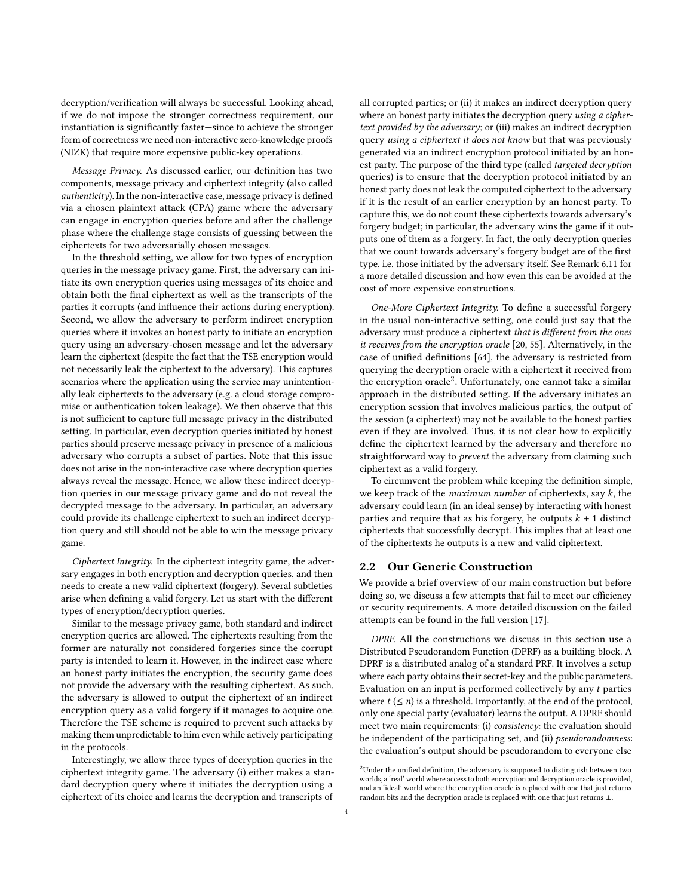decryption/verification will always be successful. Looking ahead, if we do not impose the stronger correctness requirement, our instantiation is significantly faster—since to achieve the stronger form of correctness we need non-interactive zero-knowledge proofs (NIZK) that require more expensive public-key operations.

Message Privacy. As discussed earlier, our definition has two components, message privacy and ciphertext integrity (also called  $authoricity$ ). In the non-interactive case, message privacy is defined via a chosen plaintext attack (CPA) game where the adversary can engage in encryption queries before and after the challenge phase where the challenge stage consists of guessing between the ciphertexts for two adversarially chosen messages.

In the threshold setting, we allow for two types of encryption queries in the message privacy game. First, the adversary can initiate its own encryption queries using messages of its choice and obtain both the final ciphertext as well as the transcripts of the parties it corrupts (and influence their actions during encryption). Second, we allow the adversary to perform indirect encryption queries where it invokes an honest party to initiate an encryption query using an adversary-chosen message and let the adversary learn the ciphertext (despite the fact that the TSE encryption would not necessarily leak the ciphertext to the adversary). This captures scenarios where the application using the service may unintentionally leak ciphertexts to the adversary (e.g. a cloud storage compromise or authentication token leakage). We then observe that this is not sufficient to capture full message privacy in the distributed setting. In particular, even decryption queries initiated by honest parties should preserve message privacy in presence of a malicious adversary who corrupts a subset of parties. Note that this issue does not arise in the non-interactive case where decryption queries always reveal the message. Hence, we allow these indirect decryption queries in our message privacy game and do not reveal the decrypted message to the adversary. In particular, an adversary could provide its challenge ciphertext to such an indirect decryption query and still should not be able to win the message privacy game.

Ciphertext Integrity. In the ciphertext integrity game, the adversary engages in both encryption and decryption queries, and then needs to create a new valid ciphertext (forgery). Several subtleties arise when defining a valid forgery. Let us start with the different types of encryption/decryption queries.

Similar to the message privacy game, both standard and indirect encryption queries are allowed. The ciphertexts resulting from the former are naturally not considered forgeries since the corrupt party is intended to learn it. However, in the indirect case where an honest party initiates the encryption, the security game does not provide the adversary with the resulting ciphertext. As such, the adversary is allowed to output the ciphertext of an indirect encryption query as a valid forgery if it manages to acquire one. Therefore the TSE scheme is required to prevent such attacks by making them unpredictable to him even while actively participating in the protocols.

Interestingly, we allow three types of decryption queries in the ciphertext integrity game. The adversary (i) either makes a standard decryption query where it initiates the decryption using a ciphertext of its choice and learns the decryption and transcripts of all corrupted parties; or (ii) it makes an indirect decryption query where an honest party initiates the decryption query using a ciphertext provided by the adversary; or (iii) makes an indirect decryption query using a ciphertext it does not know but that was previously generated via an indirect encryption protocol initiated by an honest party. The purpose of the third type (called targeted decryption queries) is to ensure that the decryption protocol initiated by an honest party does not leak the computed ciphertext to the adversary if it is the result of an earlier encryption by an honest party. To capture this, we do not count these ciphertexts towards adversary's forgery budget; in particular, the adversary wins the game if it outputs one of them as a forgery. In fact, the only decryption queries that we count towards adversary's forgery budget are of the first type, i.e. those initiated by the adversary itself. See Remark [6.11](#page-9-1) for a more detailed discussion and how even this can be avoided at the cost of more expensive constructions.

One-More Ciphertext Integrity. To define a successful forgery in the usual non-interactive setting, one could just say that the adversary must produce a ciphertext that is different from the ones it receives from the encryption oracle [\[20,](#page-14-15) [55\]](#page-14-16). Alternatively, in the case of unified definitions [\[64\]](#page-14-17), the adversary is restricted from querying the decryption oracle with a ciphertext it received from the encryption oracle[2](#page-3-0) . Unfortunately, one cannot take a similar approach in the distributed setting. If the adversary initiates an encryption session that involves malicious parties, the output of the session (a ciphertext) may not be available to the honest parties even if they are involved. Thus, it is not clear how to explicitly define the ciphertext learned by the adversary and therefore no straightforward way to *prevent* the adversary from claiming such ciphertext as a valid forgery.

To circumvent the problem while keeping the definition simple, we keep track of the *maximum number* of ciphertexts, say  $k$ , the adversary could learn (in an ideal sense) by interacting with honest parties and require that as his forgery, he outputs  $k + 1$  distinct ciphertexts that successfully decrypt. This implies that at least one of the ciphertexts he outputs is a new and valid ciphertext.

### <span id="page-3-1"></span>2.2 Our Generic Construction

We provide a brief overview of our main construction but before doing so, we discuss a few attempts that fail to meet our efficiency or security requirements. A more detailed discussion on the failed attempts can be found in the full version [\[17\]](#page-13-4).

DPRF. All the constructions we discuss in this section use a Distributed Pseudorandom Function (DPRF) as a building block. A DPRF is a distributed analog of a standard PRF. It involves a setup where each party obtains their secret-key and the public parameters. Evaluation on an input is performed collectively by any t parties where  $t \leq n$ ) is a threshold. Importantly, at the end of the protocol, only one special party (evaluator) learns the output. A DPRF should meet two main requirements: (i) consistency: the evaluation should be independent of the participating set, and (ii) pseudorandomness: the evaluation's output should be pseudorandom to everyone else

<span id="page-3-0"></span> $^2$  Under the unified definition, the adversary is supposed to distinguish between two worlds, a 'real' world where access to both encryption and decryption oracle is provided, and an 'ideal' world where the encryption oracle is replaced with one that just returns random bits and the decryption oracle is replaced with one that just returns ⊥.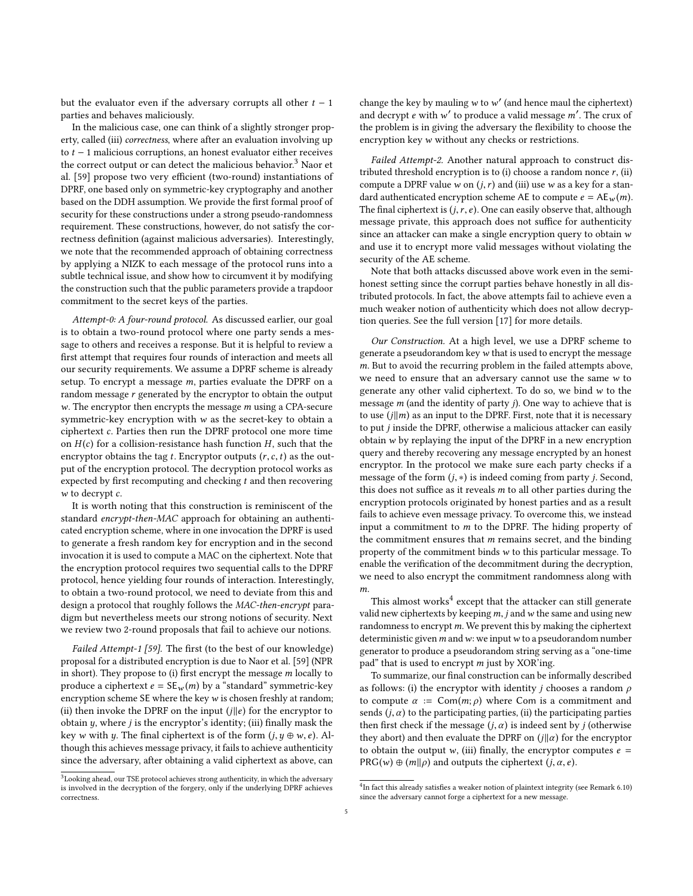but the evaluator even if the adversary corrupts all other  $t - 1$ parties and behaves maliciously.

In the malicious case, one can think of a slightly stronger property, called (iii) correctness, where after an evaluation involving up to  $t - 1$  malicious corruptions, an honest evaluator either receives the correct output or can detect the malicious behavior.<sup>[3](#page-4-0)</sup> Naor et al. [\[59\]](#page-14-13) propose two very efficient (two-round) instantiations of DPRF, one based only on symmetric-key cryptography and another based on the DDH assumption. We provide the first formal proof of security for these constructions under a strong pseudo-randomness requirement. These constructions, however, do not satisfy the correctness definition (against malicious adversaries). Interestingly, we note that the recommended approach of obtaining correctness by applying a NIZK to each message of the protocol runs into a subtle technical issue, and show how to circumvent it by modifying the construction such that the public parameters provide a trapdoor commitment to the secret keys of the parties.

Attempt-0: A four-round protocol. As discussed earlier, our goal is to obtain a two-round protocol where one party sends a message to others and receives a response. But it is helpful to review a first attempt that requires four rounds of interaction and meets all our security requirements. We assume a DPRF scheme is already setup. To encrypt a message  $m$ , parties evaluate the DPRF on a random message  $r$  generated by the encryptor to obtain the output  $w$ . The encryptor then encrypts the message  $m$  using a CPA-secure symmetric-key encryption with w as the secret-key to obtain a ciphertext c. Parties then run the DPRF protocol one more time on  $H(c)$  for a collision-resistance hash function H, such that the encryptor obtains the tag t. Encryptor outputs  $(r, c, t)$  as the output of the encryption protocol. The decryption protocol works as expected by first recomputing and checking  $t$  and then recovering w to decrypt c.

It is worth noting that this construction is reminiscent of the standard encrypt-then-MAC approach for obtaining an authenticated encryption scheme, where in one invocation the DPRF is used to generate a fresh random key for encryption and in the second invocation it is used to compute a MAC on the ciphertext. Note that the encryption protocol requires two sequential calls to the DPRF protocol, hence yielding four rounds of interaction. Interestingly, to obtain a two-round protocol, we need to deviate from this and design a protocol that roughly follows the MAC-then-encrypt paradigm but nevertheless meets our strong notions of security. Next we review two 2-round proposals that fail to achieve our notions.

Failed Attempt-1 [\[59\]](#page-14-13). The first (to the best of our knowledge) proposal for a distributed encryption is due to Naor et al. [\[59\]](#page-14-13) (NPR in short). They propose to (i) first encrypt the message m locally to produce a ciphertext  $e = SE_w(m)$  by a "standard" symmetric-key encryption scheme SE where the key w is chosen freshly at random; (ii) then invoke the DPRF on the input ( $j||e$ ) for the encryptor to obtain  $y$ , where  $j$  is the encryptor's identity; (iii) finally mask the key w with y. The final ciphertext is of the form  $(j, y \oplus w, e)$ . Although this achieves message privacy, it fails to achieve authenticity since the adversary, after obtaining a valid ciphertext as above, can

<span id="page-4-0"></span><sup>3</sup>Looking ahead, our TSE protocol achieves strong authenticity, in which the adversary is involved in the decryption of the forgery, only if the underlying DPRF achieves correctness.

change the key by mauling  $w$  to  $w'$  (and hence maul the ciphertext) and decrypt e with w' to produce a valid message m'. The crux of the problem is in giving the adversary the flexibility to choose the the problem is in giving the adversary the flexibility to choose the encryption key w without any checks or restrictions.

Failed Attempt-2. Another natural approach to construct distributed threshold encryption is to (i) choose a random nonce  $r$ , (ii) compute a DPRF value w on  $(j, r)$  and (iii) use w as a key for a standard authenticated encryption scheme AE to compute  $e = AE_w(m)$ . The final ciphertext is  $(j, r, e)$ . One can easily observe that, although message private, this approach does not suffice for authenticity since an attacker can make a single encryption query to obtain w and use it to encrypt more valid messages without violating the security of the AE scheme.

Note that both attacks discussed above work even in the semihonest setting since the corrupt parties behave honestly in all distributed protocols. In fact, the above attempts fail to achieve even a much weaker notion of authenticity which does not allow decryption queries. See the full version [\[17\]](#page-13-4) for more details.

Our Construction. At a high level, we use a DPRF scheme to generate a pseudorandom keyw that is used to encrypt the message m. But to avoid the recurring problem in the failed attempts above, we need to ensure that an adversary cannot use the same w to generate any other valid ciphertext. To do so, we bind w to the message  $m$  (and the identity of party  $j$ ). One way to achieve that is to use  $(j||m)$  as an input to the DPRF. First, note that it is necessary to put  $j$  inside the DPRF, otherwise a malicious attacker can easily obtain w by replaying the input of the DPRF in a new encryption query and thereby recovering any message encrypted by an honest encryptor. In the protocol we make sure each party checks if a message of the form  $(j, *)$  is indeed coming from party *j*. Second, this does not suffice as it reveals  $m$  to all other parties during the encryption protocols originated by honest parties and as a result fails to achieve even message privacy. To overcome this, we instead input a commitment to  $m$  to the DPRF. The hiding property of the commitment ensures that  $m$  remains secret, and the binding property of the commitment binds w to this particular message. To enable the verification of the decommitment during the decryption, we need to also encrypt the commitment randomness along with m.

This almost works $^4$  $^4$  except that the attacker can still generate valid new ciphertexts by keeping  $m$ , j and  $w$  the same and using new randomness to encrypt  $m$ . We prevent this by making the ciphertext deterministic given  $m$  and  $w$ : we input  $w$  to a pseudorandom number generator to produce a pseudorandom string serving as a "one-time pad" that is used to encrypt  $m$  just by XOR'ing.

To summarize, our final construction can be informally described as follows: (i) the encryptor with identity *j* chooses a random  $\rho$ to compute  $\alpha := \text{Com}(m; \rho)$  where Com is a commitment and sends  $(j, \alpha)$  to the participating parties, (ii) the participating parties then first check if the message  $(j, \alpha)$  is indeed sent by j (otherwise they abort) and then evaluate the DPRF on  $(i||\alpha)$  for the encryptor to obtain the output w, (iii) finally, the encryptor computes  $e =$  $PRG(w) \oplus (m||\rho)$  and outputs the ciphertext  $(j, \alpha, e)$ .

<span id="page-4-1"></span> $4$ In fact this already satisfies a weaker notion of plaintext integrity (see Remark [6.10\)](#page-9-2) since the adversary cannot forge a ciphertext for a new message.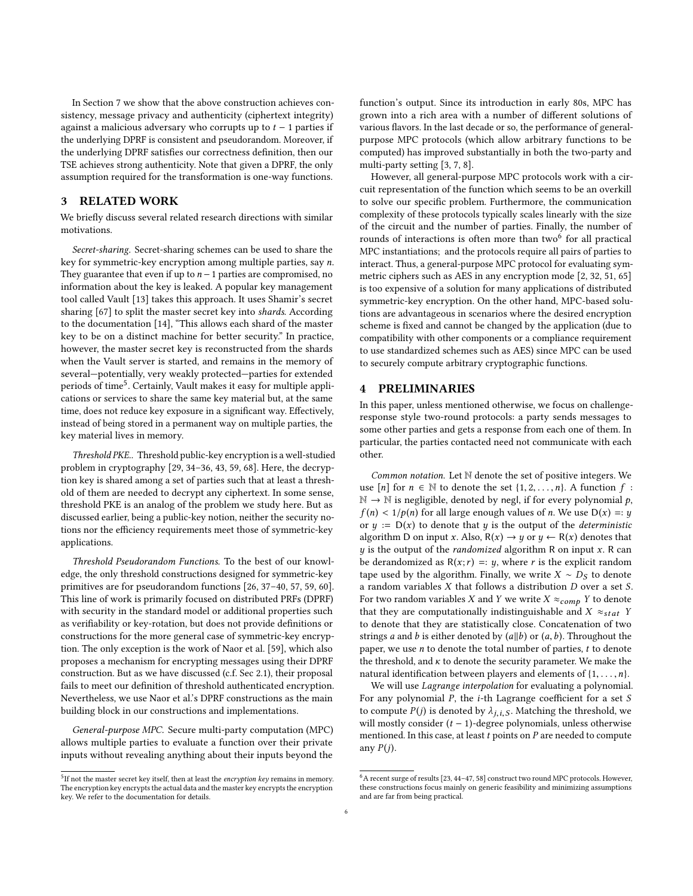In Section [7](#page-9-3) we show that the above construction achieves consistency, message privacy and authenticity (ciphertext integrity) against a malicious adversary who corrupts up to  $t - 1$  parties if the underlying DPRF is consistent and pseudorandom. Moreover, if the underlying DPRF satisfies our correctness definition, then our TSE achieves strong authenticity. Note that given a DPRF, the only assumption required for the transformation is one-way functions.

# <span id="page-5-0"></span>3 RELATED WORK

We briefly discuss several related research directions with similar motivations.

Secret-sharing. Secret-sharing schemes can be used to share the key for symmetric-key encryption among multiple parties, say n. They guarantee that even if up to  $n-1$  parties are compromised, no information about the key is leaked. A popular key management tool called Vault [\[13\]](#page-13-11) takes this approach. It uses Shamir's secret sharing [\[67\]](#page-14-27) to split the master secret key into shards. According to the documentation [\[14\]](#page-13-12), "This allows each shard of the master key to be on a distinct machine for better security." In practice, however, the master secret key is reconstructed from the shards when the Vault server is started, and remains in the memory of several—potentially, very weakly protected—parties for extended periods of time<sup>[5](#page-5-1)</sup>. Certainly, Vault makes it easy for multiple applications or services to share the same key material but, at the same time, does not reduce key exposure in a significant way. Effectively, instead of being stored in a permanent way on multiple parties, the key material lives in memory.

Threshold PKE.. Threshold public-key encryption is a well-studied problem in cryptography [\[29,](#page-14-3) [34–](#page-14-5)[36,](#page-14-6) [43,](#page-14-28) [59,](#page-14-13) [68\]](#page-14-11). Here, the decryption key is shared among a set of parties such that at least a threshold of them are needed to decrypt any ciphertext. In some sense, threshold PKE is an analog of the problem we study here. But as discussed earlier, being a public-key notion, neither the security notions nor the efficiency requirements meet those of symmetric-key applications.

Threshold Pseudorandom Functions. To the best of our knowledge, the only threshold constructions designed for symmetric-key primitives are for pseudorandom functions [\[26,](#page-14-29) [37](#page-14-30)[–40,](#page-14-31) [57,](#page-14-32) [59,](#page-14-13) [60\]](#page-14-33). This line of work is primarily focused on distributed PRFs (DPRF) with security in the standard model or additional properties such as verifiability or key-rotation, but does not provide definitions or constructions for the more general case of symmetric-key encryption. The only exception is the work of Naor et al. [\[59\]](#page-14-13), which also proposes a mechanism for encrypting messages using their DPRF construction. But as we have discussed (c.f. Sec [2.1\)](#page-2-2), their proposal fails to meet our definition of threshold authenticated encryption. Nevertheless, we use Naor et al.'s DPRF constructions as the main building block in our constructions and implementations.

General-purpose MPC. Secure multi-party computation (MPC) allows multiple parties to evaluate a function over their private inputs without revealing anything about their inputs beyond the

function's output. Since its introduction in early 80s, MPC has grown into a rich area with a number of different solutions of various flavors. In the last decade or so, the performance of generalpurpose MPC protocols (which allow arbitrary functions to be computed) has improved substantially in both the two-party and multi-party setting [\[3,](#page-13-13) [7,](#page-13-14) [8\]](#page-13-15).

However, all general-purpose MPC protocols work with a circuit representation of the function which seems to be an overkill to solve our specific problem. Furthermore, the communication complexity of these protocols typically scales linearly with the size of the circuit and the number of parties. Finally, the number of rounds of interactions is often more than two  $\overline{6}$  $\overline{6}$  $\overline{6}$  for all practical MPC instantiations; and the protocols require all pairs of parties to interact. Thus, a general-purpose MPC protocol for evaluating symmetric ciphers such as AES in any encryption mode [\[2,](#page-13-0) [32,](#page-14-34) [51,](#page-14-35) [65\]](#page-14-12) is too expensive of a solution for many applications of distributed symmetric-key encryption. On the other hand, MPC-based solutions are advantageous in scenarios where the desired encryption scheme is fixed and cannot be changed by the application (due to compatibility with other components or a compliance requirement to use standardized schemes such as AES) since MPC can be used to securely compute arbitrary cryptographic functions.

### 4 PRELIMINARIES

In this paper, unless mentioned otherwise, we focus on challengeresponse style two-round protocols: a party sends messages to some other parties and gets a response from each one of them. In particular, the parties contacted need not communicate with each other.

Common notation. Let N denote the set of positive integers. We use  $[n]$  for  $n \in \mathbb{N}$  to denote the set  $\{1, 2, \ldots, n\}$ . A function  $f$ :  $\mathbb{N} \to \mathbb{N}$  is negligible, denoted by negl, if for every polynomial p,  $f(n) < 1/p(n)$  for all large enough values of *n*. We use  $D(x) =: y$ or  $y := D(x)$  to denote that y is the output of the *deterministic* algorithm D on input x. Also,  $R(x) \rightarrow y$  or  $y \leftarrow R(x)$  denotes that  $y$  is the output of the *randomized* algorithm R on input  $x$ . R can be derandomized as  $R(x; r) =: y$ , where r is the explicit random tape used by the algorithm. Finally, we write  $X \sim D_S$  to denote a random variables X that follows a distribution D over a set S. For two random variables X and Y we write  $X \approx_{\text{comp}} Y$  to denote that they are computationally indistinguishable and  $X \approx_{stat} Y$ to denote that they are statistically close. Concatenation of two strings a and b is either denoted by  $(a||b)$  or  $(a, b)$ . Throughout the paper, we use  $n$  to denote the total number of parties,  $t$  to denote the threshold, and  $\kappa$  to denote the security parameter. We make the natural identification between players and elements of  $\{1, \ldots, n\}$ .

We will use Lagrange interpolation for evaluating a polynomial. For any polynomial  $P$ , the *i*-th Lagrange coefficient for a set  $S$ to compute  $P(j)$  is denoted by  $\lambda_{j,i,S}$ . Matching the threshold, we will mostly consider  $(t - 1)$ -degree polynomials, unless otherwise mentioned. In this case, at least  $t$  points on  $P$  are needed to compute any  $P(j)$ .

<span id="page-5-1"></span><sup>&</sup>lt;sup>5</sup>If not the master secret key itself, then at least the encryption key remains in memory. The encryption key encrypts the actual data and the master key encrypts the encryption key. We refer to the documentation for details.

<span id="page-5-2"></span> $^6\text{A}$  recent surge of results [\[23,](#page-14-36) [44–](#page-14-37)[47,](#page-14-38) [58\]](#page-14-14) construct two round MPC protocols. However, these constructions focus mainly on generic feasibility and minimizing assumptions and are far from being practical.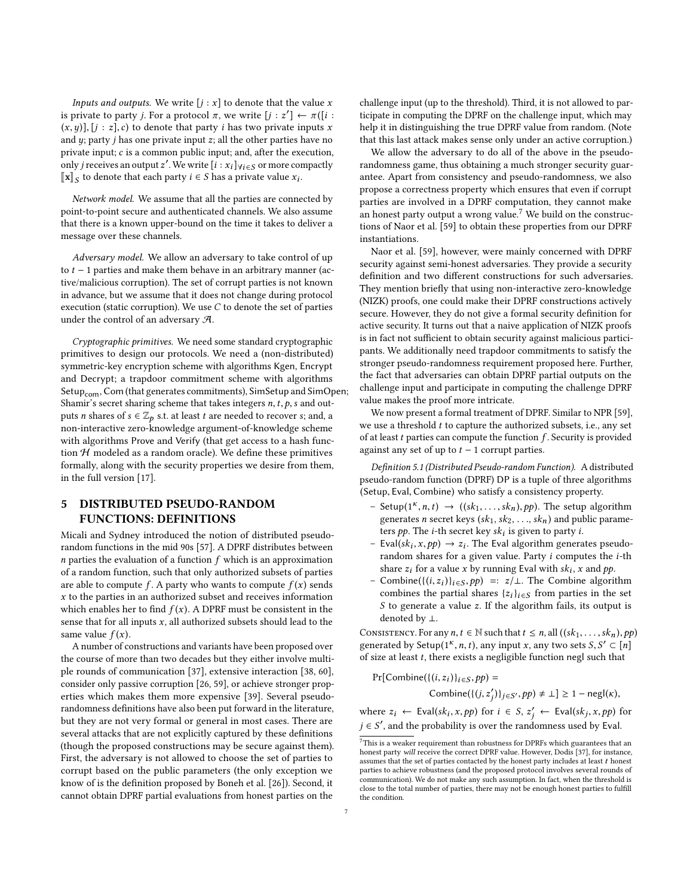*Inputs and outputs.* We write  $[j : x]$  to denote that the value x is private to party *j*. For a protocol  $\pi$ , we write  $[j : z'] \leftarrow \pi([i : [x, y])$   $[i : z] \in \mathbb{R}$  has two private inputs  $x$  $(x, y)$ ],  $[j : z]$ , c) to denote that party *i* has two private inputs *x* and  $y$ ; party *j* has one private input  $z$ ; all the other parties have no private input; c is a common public input; and, after the execution, only *j* receives an output z'. We write  $[i : x_i]_{\forall i \in S}$  or more compactly  $\llbracket x \rrbracket$  to denote that each party  $i \in S$  has a private value x.  $\llbracket \mathbf{x} \rrbracket_S$  to denote that each party *i* ∈ *S* has a private value  $x_i$ .

Network model. We assume that all the parties are connected by point-to-point secure and authenticated channels. We also assume that there is a known upper-bound on the time it takes to deliver a message over these channels.

Adversary model. We allow an adversary to take control of up to  $t$  − 1 parties and make them behave in an arbitrary manner (active/malicious corruption). The set of corrupt parties is not known in advance, but we assume that it does not change during protocol execution (static corruption). We use  $C$  to denote the set of parties under the control of an adversary  $\mathcal{A}$ .

Cryptographic primitives. We need some standard cryptographic primitives to design our protocols. We need a (non-distributed) symmetric-key encryption scheme with algorithms Kgen, Encrypt and Decrypt; a trapdoor commitment scheme with algorithms Setup<sub>com</sub>, Com (that generates commitments), SimSetup and SimOpen; Shamir's secret sharing scheme that takes integers  $n, t, p, s$  and outputs *n* shares of  $s \in \mathbb{Z}_p$  s.t. at least *t* are needed to recover *s*; and, a non-interactive zero-knowledge argument-of-knowledge scheme with algorithms Prove and Verify (that get access to a hash function  $H$  modeled as a random oracle). We define these primitives formally, along with the security properties we desire from them, in the full version [\[17\]](#page-13-4).

# <span id="page-6-2"></span>5 DISTRIBUTED PSEUDO-RANDOM FUNCTIONS: DEFINITIONS

Micali and Sydney introduced the notion of distributed pseudorandom functions in the mid 90s [\[57\]](#page-14-32). A DPRF distributes between  $n$  parties the evaluation of a function  $f$  which is an approximation of a random function, such that only authorized subsets of parties are able to compute f. A party who wants to compute  $f(x)$  sends  $x$  to the parties in an authorized subset and receives information which enables her to find  $f(x)$ . A DPRF must be consistent in the sense that for all inputs  $x$ , all authorized subsets should lead to the same value  $f(x)$ .

A number of constructions and variants have been proposed over the course of more than two decades but they either involve multiple rounds of communication [\[37\]](#page-14-30), extensive interaction [\[38,](#page-14-39) [60\]](#page-14-33), consider only passive corruption [\[26,](#page-14-29) [59\]](#page-14-13), or achieve stronger properties which makes them more expensive [\[39\]](#page-14-40). Several pseudorandomness definitions have also been put forward in the literature, but they are not very formal or general in most cases. There are several attacks that are not explicitly captured by these definitions (though the proposed constructions may be secure against them). First, the adversary is not allowed to choose the set of parties to corrupt based on the public parameters (the only exception we know of is the definition proposed by Boneh et al. [\[26\]](#page-14-29)). Second, it cannot obtain DPRF partial evaluations from honest parties on the

challenge input (up to the threshold). Third, it is not allowed to participate in computing the DPRF on the challenge input, which may help it in distinguishing the true DPRF value from random. (Note that this last attack makes sense only under an active corruption.)

We allow the adversary to do all of the above in the pseudorandomness game, thus obtaining a much stronger security guarantee. Apart from consistency and pseudo-randomness, we also propose a correctness property which ensures that even if corrupt parties are involved in a DPRF computation, they cannot make an honest party output a wrong value.<sup>[7](#page-6-0)</sup> We build on the constructions of Naor et al. [\[59\]](#page-14-13) to obtain these properties from our DPRF instantiations.

Naor et al. [\[59\]](#page-14-13), however, were mainly concerned with DPRF security against semi-honest adversaries. They provide a security definition and two different constructions for such adversaries. They mention briefly that using non-interactive zero-knowledge (NIZK) proofs, one could make their DPRF constructions actively secure. However, they do not give a formal security definition for active security. It turns out that a naive application of NIZK proofs is in fact not sufficient to obtain security against malicious participants. We additionally need trapdoor commitments to satisfy the stronger pseudo-randomness requirement proposed here. Further, the fact that adversaries can obtain DPRF partial outputs on the challenge input and participate in computing the challenge DPRF value makes the proof more intricate.

We now present a formal treatment of DPRF. Similar to NPR [\[59\]](#page-14-13), we use a threshold  $t$  to capture the authorized subsets, i.e., any set of at least  $t$  parties can compute the function  $f$ . Security is provided against any set of up to  $t - 1$  corrupt parties.

<span id="page-6-1"></span>Definition 5.1 (Distributed Pseudo-random Function). A distributed pseudo-random function (DPRF) DP is a tuple of three algorithms (Setup, Eval,Combine) who satisfy a consistency property.

- Setup( $1^k$ , *n*, *t*) → (( $sk_1$ , . . . ,  $sk_n$ ), *pp*). The setup algorithm sensus ( $sk_n$ ,  $sk_n$ ) and public parameters generates *n* secret keys ( $sk_1, sk_2, \ldots, sk_n$ ) and public parameters pp. The *i*-th secret key  $sk_i$  is given to party *i*.<br>Evaluation  $\Rightarrow z$ . The Eval algorithm general
- Eval $(sk_i, x, pp) \rightarrow z_i$ . The Eval algorithm generates pseudo-<br>random shares for a given value Party i computes the *i*-th random shares for a given value. Party i computes the i-th share  $z_i$  for a value x by running Eval with  $sk_i$ , x and pp.
- Combine({(*i*, *z<sub>i</sub>*))<sub>*i*∈S</sub>, *pp*) =: *z*/⊥. The Combine algorithm combines the partial shares  $\{z_1\}$ , a from partias in the set combines the partial shares  $\{z_i\}_{i \in S}$  from parties in the set S to generate a value z. If the algorithm fails, its output is denoted by ⊥.

CONSISTENCY. For any  $n, t \in \mathbb{N}$  such that  $t \leq n$ , all  $((sk_1, \ldots, sk_n), pp)$ generated by Setup( $1^k$ , *n*, *t*), any input *x*, any two sets *S*,  $S' \subset [n]$ <br>of size at least *t* there exists a negligible function negl such that of size at least t, there exists a negligible function negl such that

$$
Pr[Combine(\{(i, z_i)\}_{i \in S}, pp) =
$$

$$
Combine(\{(j, z'_j)\}_{j \in S'}, pp) \neq \bot] \geq 1 - negl(\kappa),
$$

where  $z_i \leftarrow \text{Eval}(sk_i, x, pp)$  for  $i \in S$ ,  $z'_j \leftarrow \text{Eval}(sk_j, x, pp)$  for  $i \in S'$  and the probability is over the randomness used by Eval  $j \in S'$ , and the probability is over the randomness used by Eval.

<span id="page-6-0"></span> ${\rm ^7This}$  is a weaker requirement than robustness for DPRFs which guarantees that an honest party will receive the correct DPRF value. However, Dodis [\[37\]](#page-14-30), for instance, assumes that the set of parties contacted by the honest party includes at least  $t$  honest parties to achieve robustness (and the proposed protocol involves several rounds of communication). We do not make any such assumption. In fact, when the threshold is close to the total number of parties, there may not be enough honest parties to fulfill the condition.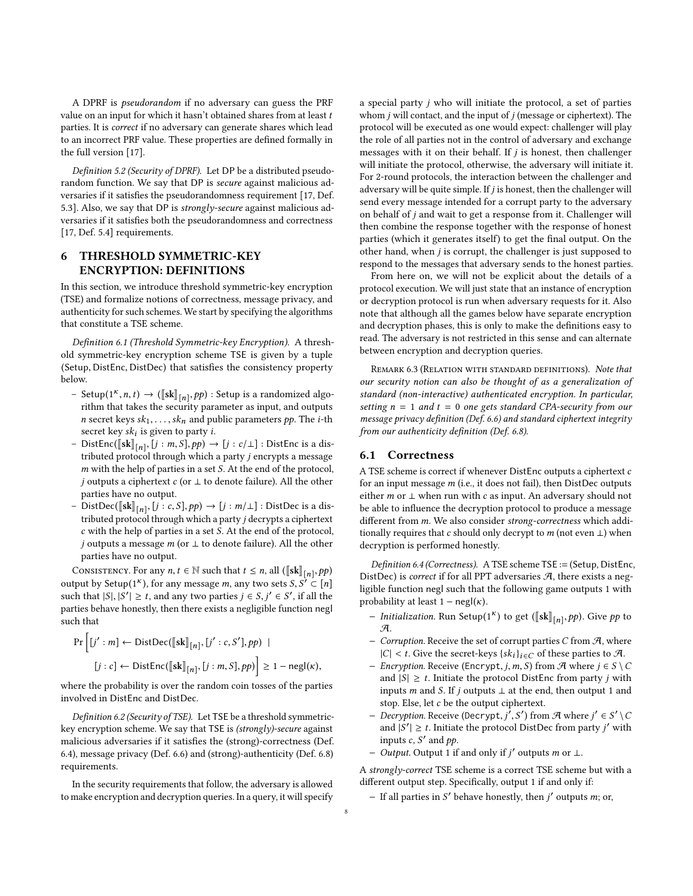A DPRF is pseudorandom if no adversary can guess the PRF value on an input for which it hasn't obtained shares from at least  $t$ parties. It is correct if no adversary can generate shares which lead to an incorrect PRF value. These properties are defined formally in the full version [\[17\]](#page-13-4).

Definition 5.2 (Security of DPRF). Let DP be a distributed pseudorandom function. We say that DP is secure against malicious adversaries if it satisfies the pseudorandomness requirement [\[17,](#page-13-4) Def. 5.3]. Also, we say that DP is strongly-secure against malicious adversaries if it satisfies both the pseudorandomness and correctness [\[17,](#page-13-4) Def. 5.4] requirements.

# 6 THRESHOLD SYMMETRIC-KEY ENCRYPTION: DEFINITIONS

In this section, we introduce threshold symmetric-key encryption (TSE) and formalize notions of correctness, message privacy, and authenticity for such schemes. We start by specifying the algorithms that constitute a TSE scheme.

Definition 6.1 (Threshold Symmetric-key Encryption). A threshold symmetric-key encryption scheme TSE is given by a tuple (Setup, DistEnc, DistDec) that satisfies the consistency property below.

- Setup( $1^k$ , *n*, *t*) → ( $[[\textbf{sk}]]_{[n]}, pp)$ : Setup is a randomized algo-<br>rithm that takes the security parameter as input and outputs rithm that takes the security parameter as input, and outputs *n* secret keys  $sk_1, \ldots, sk_n$  and public parameters *pp*. The *i*-th secret key sk<sub>i</sub> is given to party *i*.<br>Dist**Enc([sk]**<sub>135</sub> [i : m, S], nn)
- DistEnc([sk][<sub>[n]</sub>, [*j* : *m*, *S*], *pp*) → [*j* : *c*/⊥] : DistEnc is a distributed protocol through which a party *i* encrypts a message tributed protocol through which a party j encrypts a message m with the help of parties in a set S. At the end of the protocol, j outputs a ciphertext  $c$  (or  $\perp$  to denote failure). All the other parties have no output.
- DistDec( $[\![\text{sk}]\!]_{[n]}, [\![j]:c, S], pp) \rightarrow [j:m/\bot]$ : DistDec is a distributed protocol through which a party *i* decrypts a ciphertext tributed protocol through which a party j decrypts a ciphertext c with the help of parties in a set S. At the end of the protocol, *j* outputs a message *m* (or  $\perp$  to denote failure). All the other parties have no output.

CONSISTENCY. For any  $n, t \in \mathbb{N}$  such that  $t \leq n$ , all  $(\llbracket \text{sk} \rrbracket_{n}, pp)$ output by Setup(1<sup>k</sup>), for any message m, any two sets S, S<sup>o</sup> C [n]<sup>1</sup><br>euch that  $|S| = |S'| > t$  and any two sets is  $|S| \leq s' \leq S'$  if all the such that  $|S|, |S'| \ge t$ , and any two parties  $j \in S, j' \in S'$ , if all the parties behave honestly then there exists a negligible function negli parties behave honestly, then there exists a negligible function negl such that

$$
\Pr\left[\left[j':m\right] \leftarrow \text{DistDec}(\llbracket \textbf{sk} \rrbracket_{[n]}, \llbracket j':c, S'\rrbracket, pp) \mid \right]
$$
\n
$$
\left[j:c\right] \leftarrow \text{DistEnc}(\llbracket \textbf{sk} \rrbracket_{[n]}, \llbracket j:m, S\rrbracket, pp)\right] \ge 1 - \text{negl}(\kappa),
$$

where the probability is over the random coin tosses of the parties involved in DistEnc and DistDec.

Definition 6.2 (Security of TSE). Let TSE be a threshold symmetrickey encryption scheme. We say that TSE is (strongly)-secure against malicious adversaries if it satisfies the (strong)-correctness (Def. [6.4\)](#page-7-0), message privacy (Def. [6.6\)](#page-8-0) and (strong)-authenticity (Def. [6.8\)](#page-8-1) requirements.

In the security requirements that follow, the adversary is allowed to make encryption and decryption queries. In a query, it will specify a special party j who will initiate the protocol, a set of parties whom  $j$  will contact, and the input of  $j$  (message or ciphertext). The protocol will be executed as one would expect: challenger will play the role of all parties not in the control of adversary and exchange messages with it on their behalf. If  $j$  is honest, then challenger will initiate the protocol, otherwise, the adversary will initiate it. For 2-round protocols, the interaction between the challenger and adversary will be quite simple. If  $j$  is honest, then the challenger will send every message intended for a corrupt party to the adversary on behalf of j and wait to get a response from it. Challenger will then combine the response together with the response of honest parties (which it generates itself) to get the final output. On the other hand, when  $j$  is corrupt, the challenger is just supposed to respond to the messages that adversary sends to the honest parties.

From here on, we will not be explicit about the details of a protocol execution. We will just state that an instance of encryption or decryption protocol is run when adversary requests for it. Also note that although all the games below have separate encryption and decryption phases, this is only to make the definitions easy to read. The adversary is not restricted in this sense and can alternate between encryption and decryption queries.

Remark 6.3 (Relation with standard definitions). Note that our security notion can also be thought of as a generalization of standard (non-interactive) authenticated encryption. In particular, setting  $n = 1$  and  $t = 0$  one gets standard CPA-security from our message privacy definition (Def. [6.6\)](#page-8-0) and standard ciphertext integrity from our authenticity definition (Def. [6.8\)](#page-8-1).

#### 6.1 Correctness

A TSE scheme is correct if whenever  $Distance$  outputs a ciphertext  $c$ for an input message  $m$  (i.e., it does not fail), then DistDec outputs either *m* or  $\perp$  when run with *c* as input. An adversary should not be able to influence the decryption protocol to produce a message different from m. We also consider strong-correctness which additionally requires that c should only decrypt to m (not even  $\perp$ ) when decryption is performed honestly.

<span id="page-7-0"></span>Definition 6.4 (Correctness). A TSE scheme TSE := (Setup, DistEnc, DistDec) is *correct* if for all PPT adversaries  $A$ , there exists a negligible function negl such that the following game outputs 1 with probability at least  $1 - \text{negl}(\kappa)$ .

- − *Initialization*. Run Setup(1<sup>*K*</sup>) to get ([[sk][<sub>[n]</sub>, *pp*). Give *pp* to  $\mathcal{A}$ A.
- <sup>−</sup> Corruption. Receive the set of corrupt parties C from <sup>A</sup>, where  $|C| < t$ . Give the secret-keys  $\{sk_i\}_{i \in C}$  of these parties to  $\mathcal{A}$ .
- − *Encryption.* Receive (Encrypt, *j*, *m*, *S*) from  $\mathcal{A}$  where  $j \in S \setminus C$ and  $|S| \geq t$ . Initiate the protocol Distenc from party j with inputs *m* and *S*. If *j* outputs  $\bot$  at the end, then output 1 and stop. Else, let c be the output ciphertext.
- − Decryption. Receive (Decrypt,  $j^7$ ,  $S'$ ) from A where  $j' \in S' \setminus C$ <br>and  $|S'| > t$ . Initiate the protocol Dist Dec from party i' with and  $|S'| \ge t$ . Initiate the protocol DistDec from party j' with<br>inputs  $c S'$  and on inputs  $c, S'$  and  $pp$ .<br>Output Output 1 if
- <sup>−</sup> Output. Output <sup>1</sup> if and only if j ′ outputs m or <sup>⊥</sup>.

A strongly-correct TSE scheme is a correct TSE scheme but with a different output step. Specifically, output 1 if and only if:

− If all parties in  $S'$  behave honestly, then  $j'$  outputs  $m$ ; or,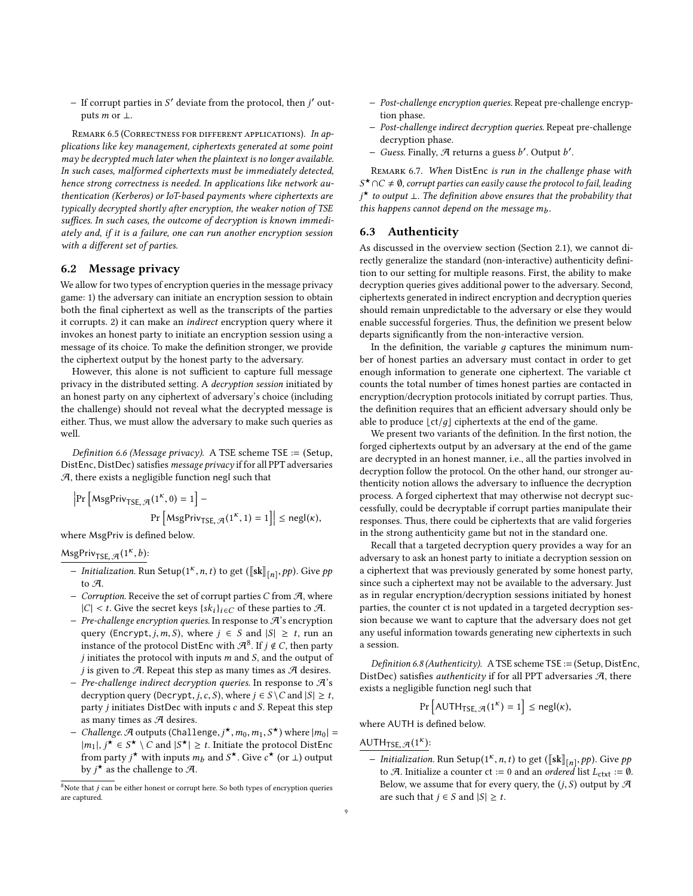− If corrupt parties in S' deviate from the protocol, then j' out-<br>puts m or  $\pm$ puts *m* or  $\perp$ .

Remark 6.5 (Correctness for different applications). In applications like key management, ciphertexts generated at some point may be decrypted much later when the plaintext is no longer available. In such cases, malformed ciphertexts must be immediately detected, hence strong correctness is needed. In applications like network authentication (Kerberos) or IoT-based payments where ciphertexts are typically decrypted shortly after encryption, the weaker notion of TSE suffices. In such cases, the outcome of decryption is known immediately and, if it is a failure, one can run another encryption session with a different set of parties.

### 6.2 Message privacy

We allow for two types of encryption queries in the message privacy game: 1) the adversary can initiate an encryption session to obtain both the final ciphertext as well as the transcripts of the parties it corrupts. 2) it can make an indirect encryption query where it invokes an honest party to initiate an encryption session using a message of its choice. To make the definition stronger, we provide the ciphertext output by the honest party to the adversary.

However, this alone is not sufficient to capture full message privacy in the distributed setting. A decryption session initiated by an honest party on any ciphertext of adversary's choice (including the challenge) should not reveal what the decrypted message is either. Thus, we must allow the adversary to make such queries as well.

<span id="page-8-0"></span>Definition 6.6 (Message privacy). A TSE scheme TSE := (Setup, DistEnc, DistDec) satisfies message privacy if for all PPT adversaries  $A$ , there exists a negligible function negl such that g

$$
Pr [MsgPriv_{TSE, \mathcal{A}}(1^{\kappa}, 0) = 1] -
$$

$$
Pr [MsgPriv_{TSE, \mathcal{A}}(1^{\kappa}, 1) = 1]
$$

where MsgPriv is defined below.

$$
\underbrace{\mathsf{MsgPriv}_{\mathsf{TSE}, \mathcal{A}}(1^{\kappa}, b)}.
$$

− *Initialization*. Run Setup(1<sup>*k*</sup>, *n*, *t*) to get ( $\left[$ s**k** $\right]$ <sub>[*n*]</sub>, *pp*). Give *pp* to  $\mathcal{A}$ to A.

 $\left|\right| \leq$  negl( $\kappa$ ),

- <sup>−</sup> Corruption. Receive the set of corrupt parties C from <sup>A</sup>, where  $|C| < t$ . Give the secret keys  $\{sk_i\}_{i \in C}$  of these parties to  $\mathcal{A}$ .
- − Pre-challenge encryption queries. In response to A's encryption query (Encrypt, *j*, *m*, *S*), where  $j \in S$  and  $|S| \ge t$ , run an instance of the protocol DistEnc with  $\mathcal{A}^8$  $\mathcal{A}^8$ . If  $j \notin C$ , then party i initiates the protocol with inputs m and S, and the output of  $j$  initiates the protocol with inputs  $m$  and  $S$ , and the output of *j* is given to  $A$ . Repeat this step as many times as  $A$  desires.
- − Pre-challenge indirect decryption queries. In response to A's decryption query (Decrypt, *j*, *c*, *S*), where  $j \in S \setminus C$  and  $|S| \ge t$ , party  $j$  initiates DistDec with inputs  $c$  and  $S$ . Repeat this step as many times as  $A$  desires.
- − Challenge. A outputs (Challenge,  $j^*$ ,  $m_0$ ,  $m_1$ ,  $S^*$ ) where  $|m_0| = |m_1|$ ,  $i^* \in S^* \setminus C$  and  $|S^*| > t$ . Initiate the protocol DistEnc  $|m_1|, j^{\star} \in S^{\star} \setminus \hat{C}$  and  $|S^{\star}| \geq t$ . Initiate the protocol Distenction party  $i^{\star}$  with inputs  $m_1$  and  $S^{\star}$  Give  $C^{\star}$  (or 1) output from party  $j^*$  with inputs  $m_b$  and  $S^*$ . Give  $c^*$  (or  $\perp$ ) output<br>by  $j^*$  as the challenge to  $\mathcal A$ by  $j^*$  as the challenge to  $\mathcal{A}$ .
- − Post-challenge encryption queries. Repeat pre-challenge encryption phase.
- − Post-challenge indirect decryption queries. Repeat pre-challenge decryption phase.
- <sup>−</sup> Guess. Finally, <sup>A</sup> returns a guess b ′ . Output b ′ .

REMARK 6.7. When DistEnc is run in the challenge phase with j\* to output ⊥. The definition above ensures that the probability that  $S<sup>★</sup> \cap C ≠ ∅$ , corrupt parties can easily cause the protocol to fail, leading this happens cannot depend on the message  $m_b$ .

#### 6.3 Authenticity

As discussed in the overview section (Section [2.1\)](#page-2-2), we cannot directly generalize the standard (non-interactive) authenticity definition to our setting for multiple reasons. First, the ability to make decryption queries gives additional power to the adversary. Second, ciphertexts generated in indirect encryption and decryption queries should remain unpredictable to the adversary or else they would enable successful forgeries. Thus, the definition we present below departs significantly from the non-interactive version.

In the definition, the variable  $q$  captures the minimum number of honest parties an adversary must contact in order to get enough information to generate one ciphertext. The variable ct counts the total number of times honest parties are contacted in encryption/decryption protocols initiated by corrupt parties. Thus, the definition requires that an efficient adversary should only be able to produce  $\lfloor ct/g \rfloor$  ciphertexts at the end of the game.

We present two variants of the definition. In the first notion, the forged ciphertexts output by an adversary at the end of the game are decrypted in an honest manner, i.e., all the parties involved in decryption follow the protocol. On the other hand, our stronger authenticity notion allows the adversary to influence the decryption process. A forged ciphertext that may otherwise not decrypt successfully, could be decryptable if corrupt parties manipulate their responses. Thus, there could be ciphertexts that are valid forgeries in the strong authenticity game but not in the standard one.

Recall that a targeted decryption query provides a way for an adversary to ask an honest party to initiate a decryption session on a ciphertext that was previously generated by some honest party, since such a ciphertext may not be available to the adversary. Just as in regular encryption/decryption sessions initiated by honest parties, the counter ct is not updated in a targeted decryption session because we want to capture that the adversary does not get any useful information towards generating new ciphertexts in such a session.

<span id="page-8-1"></span>Definition 6.8 (Authenticity). A TSE scheme TSE := (Setup, DistEnc, DistDec) satisfies *authenticity* if for all PPT adversaries  $A$ , there exists a negligible function negl such that<br>  $Pr[\text{AUTH}_{\text{TF}} \ a(1^{\text{K}}) = 1]$ 

$$
\Pr\left[\text{AUTH}_{\text{TSE},\mathcal{A}}(1^{\kappa})=1\right]\leq \text{negl}(\kappa),
$$

where AUTH is defined below.

$$
\overline{\text{AUTH}_{\text{TSE},\mathcal{A}}(1^{\kappa})}:
$$

− *Initialization*. Run Setup(1<sup>*K*</sup>, *n*, *t*) to get ([ $\left[\text{sk}\right]_{[n]}, pp$ ). Give *pp* to  $\mathcal{A}$  Initialize a counter  $ct := 0$  and an ordered list  $I_{\text{max}} := \emptyset$ to A. Initialize a counter ct := 0 and an ordered list  $L_{\text{ctxt}}$  := 0. Below, we assume that for every query, the  $(j, S)$  output by  $\mathcal{A}$ are such that  $j \in S$  and  $|S| \geq t$ .

<span id="page-8-2"></span> $8$ Note that  $j$  can be either honest or corrupt here. So both types of encryption queries are captured.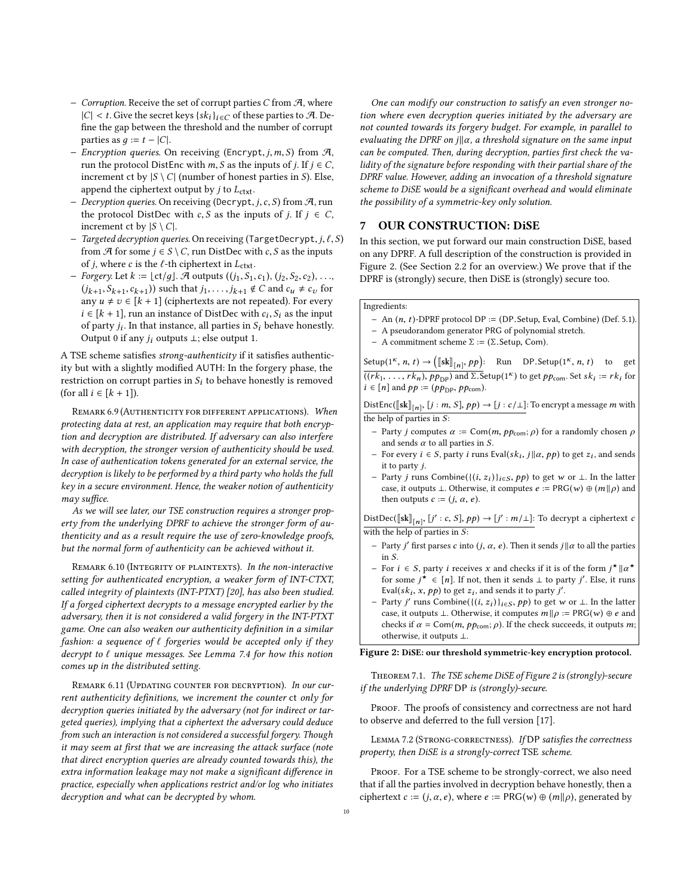- <sup>−</sup> Corruption. Receive the set of corrupt parties C from <sup>A</sup>, where  $|C| < t$ . Give the secret keys  $\{sk_i\}_{i \in C}$  of these parties to A. Define the gap between the threshold and the number of corrupt parties as  $q := t - |C|$ .
- <sup>−</sup> Encryption queries. On receiving (Encrypt, j,m, S) from <sup>A</sup>, run the protocol DistEnc with m, S as the inputs of *j*. If  $j \in C$ , increment ct by  $|S \setminus C|$  (number of honest parties in *S*). Else, append the ciphertext output by  $j$  to  $L_{\text{ctxt}}$ .
- Decryption queries. On receiving (Decrypt, j, c, S) from  $A$ , run the protocol DistDec with c, S as the inputs of j. If  $j \in C$ , increment ct by  $|S \setminus C|$ .
- Targeted decryption queries. On receiving (TargetDecrypt,  $j, \ell, S$ ) from  $\mathcal A$  for some  $j \in S \setminus C$ , run DistDec with c, S as the inputs of *j*, where *c* is the  $\ell$ -th ciphertext in  $L_{\text{ctxt}}$ .
- − *Forgery*. Let  $k := \lfloor ct/g \rfloor$ . A outputs  $((j_1, S_1, c_1), (j_2, S_2, c_2), ...,$  $(j_{k+1}, S_{k+1}, c_{k+1})$  such that  $j_1, \ldots, j_{k+1} \notin C$  and  $c_u \neq c_v$  for every any  $u \neq v \in [k + 1]$  (ciphertexts are not repeated). For every  $i \in [k+1]$ , run an instance of DistDec with  $c_i$ ,  $S_i$  as the input of party i. In that instance all parties in S: behave bonestly of party  $j_i$ . In that instance, all parties in  $S_i$  behave honestly.<br>Output 0 if any is outputs the decoupout 1 Output 0 if any  $j_i$  outputs  $\perp$ ; else output 1.

A TSE scheme satisfies strong-authenticity if it satisfies authenticity but with a slightly modified AUTH: In the forgery phase, the restriction on corrupt parties in  $S_i$  to behave honestly is removed (for all  $i \in [k+1]$ ).

Remark 6.9 (Authenticity for different applications). When protecting data at rest, an application may require that both encryption and decryption are distributed. If adversary can also interfere with decryption, the stronger version of authenticity should be used. In case of authentication tokens generated for an external service, the decryption is likely to be performed by a third party who holds the full key in a secure environment. Hence, the weaker notion of authenticity may suffice.

As we will see later, our TSE construction requires a stronger property from the underlying DPRF to achieve the stronger form of authenticity and as a result require the use of zero-knowledge proofs, but the normal form of authenticity can be achieved without it.

<span id="page-9-2"></span>REMARK 6.10 (INTEGRITY OF PLAINTEXTS). In the non-interactive setting for authenticated encryption, a weaker form of INT-CTXT, called integrity of plaintexts (INT-PTXT) [\[20\]](#page-14-15), has also been studied. If a forged ciphertext decrypts to a message encrypted earlier by the adversary, then it is not considered a valid forgery in the INT-PTXT game. One can also weaken our authenticity definition in a similar fashion: a sequence of  $\ell$  forgeries would be accepted only if they decrypt to  $\ell$  unique messages. See Lemma [7.4](#page-10-0) for how this notion comes up in the distributed setting.

<span id="page-9-1"></span>Remark 6.11 (Updating counter for decryption). In our current authenticity definitions, we increment the counter ct only for decryption queries initiated by the adversary (not for indirect or targeted queries), implying that a ciphertext the adversary could deduce from such an interaction is not considered a successful forgery. Though it may seem at first that we are increasing the attack surface (note that direct encryption queries are already counted towards this), the extra information leakage may not make a significant difference in practice, especially when applications restrict and/or log who initiates decryption and what can be decrypted by whom.

One can modify our construction to satisfy an even stronger notion where even decryption queries initiated by the adversary are not counted towards its forgery budget. For example, in parallel to evaluating the DPRF on j $\|\alpha$ , a threshold signature on the same input can be computed. Then, during decryption, parties first check the validity of the signature before responding with their partial share of the DPRF value. However, adding an invocation of a threshold signature scheme to DiSE would be a significant overhead and would eliminate the possibility of a symmetric-key only solution.

# <span id="page-9-3"></span>7 OUR CONSTRUCTION: DiSE

In this section, we put forward our main construction DiSE, based on any DPRF. A full description of the construction is provided in Figure [2.](#page-9-0) (See Section [2.2](#page-3-1) for an overview.) We prove that if the DPRF is (strongly) secure, then DiSE is (strongly) secure too.

#### <span id="page-9-0"></span>Ingredients:

- $-$  An  $(n, t)$ -DPRF protocol DP := (DP. Setup, Eval, Combine) (Def. [5.1\)](#page-6-1).
- − A pseudorandom generator PRG of polynomial stretch.
- <sup>−</sup> A commitment scheme Σ :<sup>=</sup> (Σ.Setup, Com).

Setup(1<sup>*k*</sup>, *n*, *t*)  $\rightarrow$  ([sk][<sub>n]</sub>, *pp*]: Run DP.Setup(1<sup>*k*</sup>, *n*, *t*) to get  $((rk_1, \ldots, rk_n), pp_{DP})$  and  $\Sigma$ . Setup(1<sup>k</sup>) to get  $pp_{com}$ . Set  $sk_i := rk_i$  for  $i \in [n]$  and  $kn := (nn, nh)$ .  $i \in [n]$  and  $pp := (pp_{DP}, pp_{com})$ .

DistEnc([[sk][<sub>n]</sub>, [*j* : *m*, *S*], *pp*)  $\rightarrow$  [*j* : *c*/ $\perp$ ]: To encrypt a message *m* with the help of parties in  $S$ :

- $−$  Party *j* computes  $α := \text{Com}(m, pp_{\text{com}}; ρ)$  for a randomly chosen  $ρ$ and sends  $\alpha$  to all parties in S.
- − For every  $i \in S$ , party  $i$  runs Eval( $sk_i$ ,  $j||α, pp$ ) to get  $z_i$ , and sends it to party  $i$ . it to party j.
- − Party *j* runs Combine({(*i*,  $z_i$ )}<sub>*i*∈S</sub>, *pp*) to get w or ⊥. In the latter case it outputs + Otherwise *it* computes  $e = \text{PRC}(w) \oplus (m||q)$  and case, it outputs  $\bot$ . Otherwise, it computes  $e := \text{PRG}(w) \oplus (m||\rho)$  and then outputs  $c := (j, \alpha, e)$ .

DistDec([[sk][<sub>[n]</sub>, [*j'* : *c*, *S*], *pp*)  $\rightarrow$  [*j'* : *m*/ $\perp$ ]: To decrypt a ciphertext *c* with the help of parties in  $S$ :

- − Party *j'* first parses *c* into (*j*, *α*, *e*). Then it sends *j* ||*α* to all the parties in S in S.
- − For  $i \in S$ , party i receives x and checks if it is of the form  $j^* \parallel \alpha^*$ <br>for some  $i^* \in [n]$  If not then it sonds | to party i<sup>t</sup> Else it rung for some  $j^*$  ∈ [n]. If not, then it sends ⊥ to party j'. Else, it runs<br>Eval(sk, x, an) to get z, and sends it to party j'. Eval(s $k_i$ , x, pp) to get  $z_i$ , and sends it to party j'.<br>Party i' runs Combine(((i, z,)), s, pp) to get w
- − Party j' runs Combine({(*i*,  $z_i$ )}<sub>i∈S</sub>, pp) to get w or ⊥. In the latter case, it outputs  $\vdash$  Otherwise, it computes  $m||_Q = \text{PPC}(w) \oplus q$  and case, it outputs ⊥. Otherwise, it computes  $m \mid \rho := \text{PRG}(w) \oplus e$  and checks if  $\alpha = \text{Com}(m, pp_{\text{com}}; \rho)$ . If the check succeeds, it outputs m; otherwise, it outputs ⊥.

Figure 2: DiSE: our threshold symmetric-key encryption protocol.

Theorem 7.1. The TSE scheme DiSE of Figure [2](#page-9-0) is (strongly)-secure if the underlying DPRF DP is (strongly)-secure.

PROOF. The proofs of consistency and correctness are not hard to observe and deferred to the full version [\[17\]](#page-13-4).

LEMMA 7.2 (STRONG-CORRECTNESS). If DP satisfies the correctness property, then DiSE is a strongly-correct TSE scheme.

PROOF. For a TSE scheme to be strongly-correct, we also need that if all the parties involved in decryption behave honestly, then a ciphertext  $c := (j, \alpha, e)$ , where  $e := \text{PRG}(w) \oplus (m||\rho)$ , generated by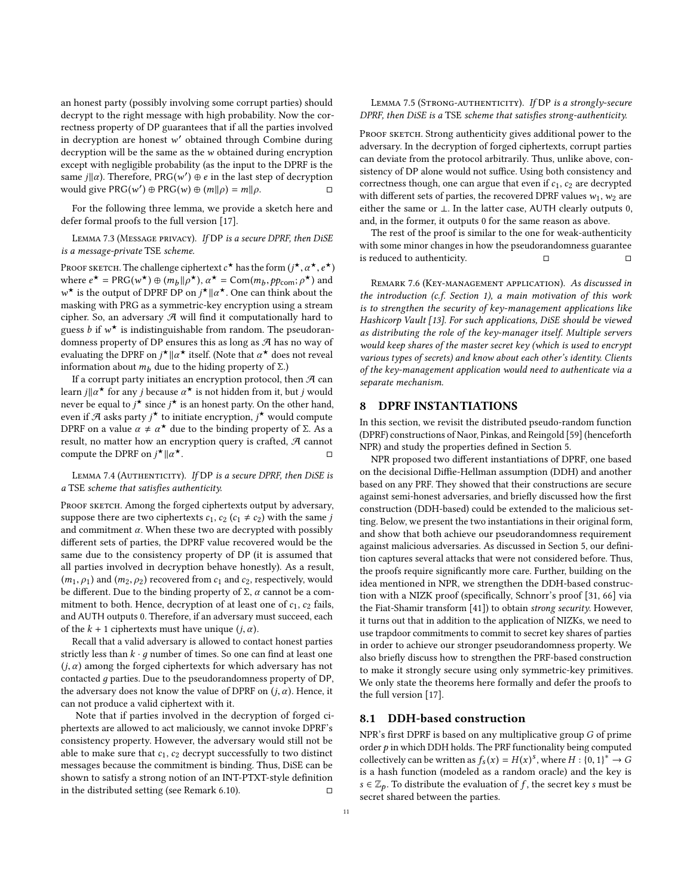an honest party (possibly involving some corrupt parties) should decrypt to the right message with high probability. Now the correctness property of DP guarantees that if all the parties involved in decryption are honest w' obtained through Combine during<br>decryption will be the same as the w obtained during encryption decryption will be the same as the w obtained during encryption except with negligible probability (as the input to the DPRF is the same  $j||\alpha$ ). Therefore, PRG(w')  $\oplus e$  in the last step of decryption<br>would give PBG(w')  $\oplus$  PBG(w)  $\oplus$  (ml|o) = ml|o would give  $PRO(w') \oplus PRO(w) \oplus (m||\rho) = m||\rho$ .

For the following three lemma, we provide a sketch here and defer formal proofs to the full version [\[17\]](#page-13-4).

Lemma 7.3 (Message privacy). If DP is a secure DPRF, then DiSE is a message-private TSE scheme.

PROOF SKETCH. The challenge ciphertext  $c^*$  has the form (*j*<br>where  $e^* = \text{PRG}(w^*) \oplus (m, ||\alpha^*) \cdot \alpha^* = \text{Com}(m, m)$ PROOF SKETCH. The challenge cipheriext c has the form (*j*, *a*, *e*)<br>where  $e^* = \text{PRG}(w^*) \oplus (m_b || \rho^*)$ ,  $a^* = \text{Com}(m_b, pp_{\text{com}}; \rho^*)$  and<br> $w^*$  is the output of DPRE DP on  $i^* || \alpha^*$ . One can think about the  $m = \frac{m}{2}$  with PRG as a symmetric-key encryption using a stream  $\star$  is the output of DPRF DP on  $j^{\star}||a^{\star}$ . One can think about the origins with PBG as a symmetric-key encryption using a stream cipher. So, an adversary  $\mathcal A$  will find it computationally hard to guess *b* if  $w^*$  is indistinguishable from random. The pseudoran-<br>domness property of DP ensures this as long as  $\mathcal{F}$  has no way of domness property of DP ensures this as long as  $A$  has no way of evaluating the DPRF on  $j^*||\alpha^*$  itself. (Note that  $\alpha^*$  does not reveal<br>information about  $m_i$ , due to the biding property of  $\Sigma$ ) information about  $m_b$  due to the hiding property of Σ.)

If a corrupt party initiates an encryption protocol, then  $A$  can learn j∥α<sup>\*</sup> for any j because  $\alpha^*$  is not hidden from it, but j would never be equal to  $j^*$  since  $j^*$  is an honest party. On the other hand, even if  $\mathcal A$  asks party  $j^*$  to initiate encryption,  $j^*$  would compute DPRF on a value  $\alpha \neq \alpha^*$  due to the binding property of  $\Sigma$ . As a result no matter how an encryption query is crafted  $\mathcal{A}$  cannot result, no matter how an encryption query is crafted,  $A$  cannot compute the DPRF on  $j^{\star}||a$ <sup>⋆</sup>. □

<span id="page-10-0"></span>LEMMA 7.4 (AUTHENTICITY). If DP is a secure DPRF, then DiSE is a TSE scheme that satisfies authenticity.

PROOF SKETCH. Among the forged ciphertexts output by adversary, suppose there are two ciphertexts  $c_1$ ,  $c_2$  ( $c_1 \neq c_2$ ) with the same j and commitment  $\alpha$ . When these two are decrypted with possibly different sets of parties, the DPRF value recovered would be the same due to the consistency property of DP (it is assumed that all parties involved in decryption behave honestly). As a result,  $(m_1, \rho_1)$  and  $(m_2, \rho_2)$  recovered from  $c_1$  and  $c_2$ , respectively, would be different. Due to the binding property of  $\Sigma$ ,  $\alpha$  cannot be a commitment to both. Hence, decryption of at least one of  $c_1$ ,  $c_2$  fails, and AUTH outputs 0. Therefore, if an adversary must succeed, each of the  $k + 1$  ciphertexts must have unique  $(j, \alpha)$ .

Recall that a valid adversary is allowed to contact honest parties strictly less than  $k \cdot q$  number of times. So one can find at least one  $(j, \alpha)$  among the forged ciphertexts for which adversary has not contacted  $g$  parties. Due to the pseudorandomness property of DP, the adversary does not know the value of DPRF on  $(j, \alpha)$ . Hence, it can not produce a valid ciphertext with it.

Note that if parties involved in the decryption of forged ciphertexts are allowed to act maliciously, we cannot invoke DPRF's consistency property. However, the adversary would still not be able to make sure that  $c_1$ ,  $c_2$  decrypt successfully to two distinct messages because the commitment is binding. Thus, DiSE can be shown to satisfy a strong notion of an INT-PTXT-style definition in the distributed setting (see Remark [6.10\)](#page-9-2).  $\square$ 

#### LEMMA 7.5 (STRONG-AUTHENTICITY). If DP is a strongly-secure DPRF, then DiSE is a TSE scheme that satisfies strong-authenticity.

PROOF SKETCH. Strong authenticity gives additional power to the adversary. In the decryption of forged ciphertexts, corrupt parties can deviate from the protocol arbitrarily. Thus, unlike above, consistency of DP alone would not suffice. Using both consistency and correctness though, one can argue that even if  $c_1$ ,  $c_2$  are decrypted with different sets of parties, the recovered DPRF values  $w_1$ ,  $w_2$  are either the same or  $\perp$ . In the latter case, AUTH clearly outputs 0, and, in the former, it outputs 0 for the same reason as above.

The rest of the proof is similar to the one for weak-authenticity with some minor changes in how the pseudorandomness guarantee is reduced to authenticity.  $\Box$ 

Remark 7.6 (Key-management application). As discussed in the introduction (c.f. Section [1\)](#page-0-0), a main motivation of this work is to strengthen the security of key-management applications like Hashicorp Vault [\[13\]](#page-13-11). For such applications, DiSE should be viewed as distributing the role of the key-manager itself. Multiple servers would keep shares of the master secret key (which is used to encrypt various types of secrets) and know about each other's identity. Clients of the key-management application would need to authenticate via a separate mechanism.

#### <span id="page-10-1"></span>8 DPRF INSTANTIATIONS

In this section, we revisit the distributed pseudo-random function (DPRF) constructions of Naor, Pinkas, and Reingold [\[59\]](#page-14-13) (henceforth NPR) and study the properties defined in Section [5.](#page-6-2)

NPR proposed two different instantiations of DPRF, one based on the decisional Diffie-Hellman assumption (DDH) and another based on any PRF. They showed that their constructions are secure against semi-honest adversaries, and briefly discussed how the first construction (DDH-based) could be extended to the malicious setting. Below, we present the two instantiations in their original form, and show that both achieve our pseudorandomness requirement against malicious adversaries. As discussed in Section [5,](#page-6-2) our definition captures several attacks that were not considered before. Thus, the proofs require significantly more care. Further, building on the idea mentioned in NPR, we strengthen the DDH-based construction with a NIZK proof (specifically, Schnorr's proof [\[31,](#page-14-41) [66\]](#page-14-42) via the Fiat-Shamir transform [\[41\]](#page-14-43)) to obtain strong security. However, it turns out that in addition to the application of NIZKs, we need to use trapdoor commitments to commit to secret key shares of parties in order to achieve our stronger pseudorandomness property. We also briefly discuss how to strengthen the PRF-based construction to make it strongly secure using only symmetric-key primitives. We only state the theorems here formally and defer the proofs to the full version [\[17\]](#page-13-4).

#### 8.1 DDH-based construction

NPR's first DPRF is based on any multiplicative group G of prime order  $p$  in which DDH holds. The PRF functionality being computed collectively can be written as  $f_s(x) = H(x)^s$ , where  $H : \{0, 1\}^* \to G$ <br>is a bash function (modeled as a random oracle) and the key is is a hash function (modeled as a random oracle) and the key is  $s \in \mathbb{Z}_p$ . To distribute the evaluation of f, the secret key s must be secret shared between the parties.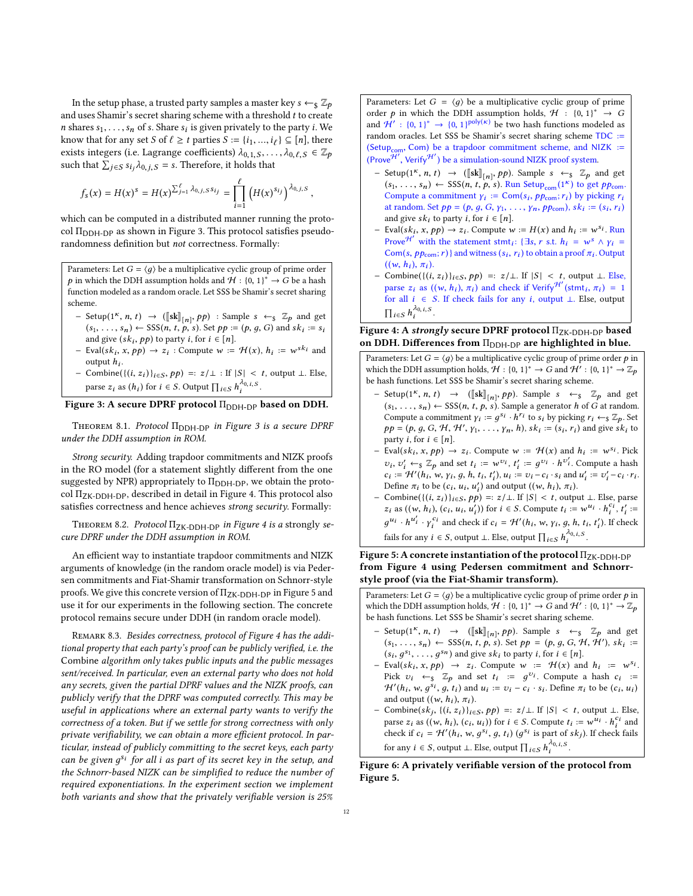In the setup phase, a trusted party samples a master key  $s \leftarrow_s \mathbb{Z}_p$ and uses Shamir's secret sharing scheme with a threshold  $t$  to create *n* shares  $s_1, \ldots, s_n$  of s. Share  $s_i$  is given privately to the party *i*. We know that for any set S of  $\ell > t$  parties  $S = \{i, \ldots, i\} \subseteq [n]$  there know that for any set S of  $\ell \geq t$  parties  $S := \{i_1, ..., i_\ell\} \subseteq [n]$ , there exists integers (i.e. Lagrange coefficients)  $\lambda_{0,1, S}, \ldots, \lambda_{0, \ell, S} \in \mathbb{Z}_p$ such that  $\sum_{j \in S} s_{i_j} \lambda_{0,j,S} = s$ . Therefore, it holds that

$$
f_s(x) = H(x)^s = H(x)^{\sum_{j=1}^{\ell} \lambda_{0,j,S} s_{ij}} = \prod_{i=1}^{\ell} \left( H(x)^{s_{ij}} \right)^{\lambda_{0,j,S}},
$$
  
which can be computed in a distributed manner running the proto-

,

col  $\Pi_{\text{DDH-DP}}$  as shown in Figure [3.](#page-11-0) This protocol satisfies pseudorandomness definition but not correctness. Formally:

<span id="page-11-0"></span>Parameters: Let  $G = \langle q \rangle$  be a multiplicative cyclic group of prime order p in which the DDH assumption holds and  $H : \{0, 1\}^* \to G$  be a hash function modeled as a random arcale Let SSS be Shamir's secret sharing function modeled as a random oracle. Let SSS be Shamir's secret sharing scheme.

- − Setup( $1^k$ , *n*, *t*) → ( $[\sceil k][n], pp$ ) : Sample  $s \leftarrow s \mathbb{Z}_p$  and get  $(s_1, \ldots, s_n) \leftarrow \text{SSS}(n, t, p, s)$ . Set  $pp := (p, g, G)$  and  $sk_i := s_i$ <br>and give  $(sk, pn)$  to party i for  $i \in [n]$ and give  $(sk_i, pp)$  to party *i*, for  $i \in [n]$ .<br>Fual(sk, x, pp)  $\Rightarrow$  z, ; Compute 1:
- − Eval(s $k_i$ , x, pp) → z<sub>i</sub>: Compute w :=  $\mathcal{H}(x)$ ,  $h_i$  :=  $w^{sk_i}$  and output  $h_i$ . output  $h_i$ .
- − Combine({(*i*, *z<sub>i</sub>*)}*i*∈*S*, *pp*) =: *z*/⊥ : If  $|S| < t$ , output ⊥. Else, parse  $z_i$  as  $(h_i)$  for  $i \in S$ . Output  $\prod_{i \in S} h_i^{\lambda_{0,i,S}}$ .

# Figure 3: A secure DPRF protocol Π<sub>DDH-DP</sub> based on DDH.

THEOREM 8.1. Protocol  $\Pi_{\text{DDH-DP}}$  in Figure [3](#page-11-0) is a secure DPRF under the DDH assumption in ROM.

Strong security. Adding trapdoor commitments and NIZK proofs in the RO model (for a statement slightly different from the one suggested by NPR) appropriately to  $\Pi_{\text{DDH-DP}}$ , we obtain the protocol  $\Pi$ <sub>ZK-DDH-DP</sub>, described in detail in Figure [4.](#page-11-1) This protocol also satisfies correctness and hence achieves strong security. Formally:

THEOREM 8.2. Protocol  $\Pi_{ZK-DDH-DP}$  in Figure [4](#page-11-1) is a strongly secure DPRF under the DDH assumption in ROM.

An efficient way to instantiate trapdoor commitments and NIZK arguments of knowledge (in the random oracle model) is via Pedersen commitments and Fiat-Shamir transformation on Schnorr-style proofs. We give this concrete version of ΠZK-DDH-DP in Figure [5](#page-11-2) and use it for our experiments in the following section. The concrete protocol remains secure under DDH (in random oracle model).

<span id="page-11-4"></span>Remark 8.3. Besides correctness, protocol of Figure [4](#page-11-1) has the additional property that each party's proof can be publicly verified, i.e. the Combine algorithm only takes public inputs and the public messages sent/received. In particular, even an external party who does not hold any secrets, given the partial DPRF values and the NIZK proofs, can publicly verify that the DPRF was computed correctly. This may be useful in applications where an external party wants to verify the correctness of a token. But if we settle for strong correctness with only private verifiability, we can obtain a more efficient protocol. In particular, instead of publicly committing to the secret keys, each party can be given  $g^{s_i}$  for all i as part of its secret key in the setup, and<br>the Schnorr-based NIZK can be simplified to reduce the number of the Schnorr-based NIZK can be simplified to reduce the number of required exponentiations. In the experiment section we implement both variants and show that the privately verifiable version is 25%

<span id="page-11-1"></span>Parameters: Let  $G = \langle q \rangle$  be a multiplicative cyclic group of prime order p in which the DDH assumption holds,  $\mathcal{H}$  :  $\{0, 1\}^* \rightarrow G$ <br>and  $\mathcal{H}'$  +  $(0, 1\}^* \rightarrow (0, 1)$  poly $(k)$  be two back functions modeled as and  $\mathcal{H}'$ :  $\{0, 1\}^* \to \{0, 1\}^{\text{poly}(\kappa)}$  be two hash functions modeled as random oracles. Let SSS be Shamir's secret sharing scheme TDC := (Setup<sub>com</sub>, Com) be a trapdoor commitment scheme, and NIZK := (Prove  $\mathcal{H}'$ , Verify  $\mathcal{H}'$ ) be a simulation-sound NIZK proof system.

- − Setup(1<sup>*k*</sup>, *n*, *t*) → ([[sk][<sub>*n*]</sub>, *pp*). Sample  $s \leftarrow s \mathbb{Z}_p$  and get  $(s_1, \ldots, s_n) \leftarrow \text{SSS}(n, t, p, s)$ . Run Setup<sub>com</sub> (1<sup>k</sup>) to get *pp*<sub>com</sub>. Compute a commitment  $\gamma_i := \text{Com}(s_i, p p_{\text{com}}; r_i)$  by picking  $r_i$ <br>of random,  $\text{Set}$  to  $n = (s_i, s_i \text{ mod } r_i)$ ,  $\text{Set}$ ,  $r = (s_i, r_i)$ at random. Set  $pp = (p, g, G, \gamma_1, \ldots, \gamma_n, pp_{com}), sk_i := (s_i, r_i)$ and give  $sk_i$  to party *i*, for  $i \in [n]$ .
- − Eval(sk<sub>i</sub>, x, pp) → z<sub>i</sub>. Compute w :=  $H(x)$  and  $h_i := w^{s_i}$ . Run<br>Run  $\mathcal{H}'$  with the atomorphetic (Je n et  $h_i = w^{s_i}$ ) w = Prove<sup>H'</sup> with the statement stmt<sub>i</sub>: {∃s, r s.t.  $h_i = w^s \wedge \gamma_i =$ <br>Com/s, the with and witness (s, r) to obtain a proof  $\pi$ . Output Com(s,  $pp_{com}$ ; r) and witness  $(s_i, r_i)$  to obtain a proof  $\pi_i$ . Output  $((s, h_i), \pi_i)$  $((w, h_i), \pi_i).$
- $((w, h_i), \pi_i)$ .<br>
− Combine({(*i, z<sub>i</sub>*)}<sub>*i*∈S</sub>, *pp*) =: *z*/⊥. If |S| < *t*, output ⊥. Else, parse  $z_i$  as  $((w, h_i), \pi_i)$  and check if Verify<sup> $\mathcal{H}'(\text{stmt}_i, \pi_i) = 1$ <br>for all  $i \in S$ . If shock fails for any  $i$  sutput  $\perp$ . Fig. output</sup> parse  $z_i$  as  $((w, h_i), \pi_i)$  and check if Verity'' (stmt<sub>i</sub>,  $\pi_i$ ) = 1<br>for all  $i \in S$ . If check fails for any *i*, output  $\perp$ . Else, output  $\prod_{i\in S} h_i^{\lambda_{0,i,S}}.$

## Figure 4: A strongly secure DPRF protocol Π<sub>ZK-DDH-DP</sub> based on DDH. Differences from  $\Pi_{\text{DDH-DP}}$  are highlighted in blue.

<span id="page-11-2"></span>Parameters: Let  $G = \langle q \rangle$  be a multiplicative cyclic group of prime order p in which the DDH assumption holds,  $\mathcal{H} : \{0, 1\}^* \to G$  and  $\mathcal{H}' : \{0, 1\}^* \to \mathbb{Z}_p$ <br>he hoch functions. Let SSS be Shamir's secret sharing scheme. be hash functions. Let SSS be Shamir's secret sharing scheme.

- − Setup(1<sup>*k*</sup>, *n*, *t*)  $\rightarrow$  ([[sk][<sub>[n]</sub>, *pp*). Sample *s*  $\leftarrow$ <sub>5</sub>  $\mathbb{Z}_p$  and get  $(s_1, \ldots, s_n) \leftarrow \text{SS}(n, t, p, s)$ . Sample a generator h of G at random. Compute a commitment  $\gamma_i := g^{s_i} \cdot h^{r_i}$  to  $s_i$  by picking  $r_i \leftarrow s \mathbb{Z}_p$ . Set  $pp = (p, g, G, H, H', \gamma_1, \dots, \gamma_n, h), sk_i := (s_i, r_i)$  and give  $sk_i$  to party  $i$  for  $i \in [n]$ party *i*, for  $i \in [n]$ .
- − Eval(sk<sub>i</sub>, x, pp) → z<sub>i</sub>. Compute w :=  $\mathcal{H}(x)$  and  $h_i := w^{s_i}$ . Pick  $v_i$ ,  $v'_i \leftarrow s$ ,  $\mathbb{Z}_p$  and set  $t_i := w^{v_i}$ ,  $t'_i := g^{v_i} \cdot h^{v'_i}$ . Compute a hash  $c_i := \mathcal{H}'(h_i, w, \gamma_i, g, h, t_i, t'_i), u_i := v_i - c_i \cdot s_i \text{ and } u'_i := v'_i - c_i \cdot r_i.$ <br>
Define  $\pi$ , to be  $(c, u, u')$  and output  $((w, h, \gamma, \pi))$  $\text{Define } \pi_i \text{ to be } (c_i, u_i, u'_i) \text{ and output } ((w, h_i), \pi_i).$
- Denne  $\pi_i$  to be  $(c_i, u_i, u_i)$  and output  $((w, n_i), \pi_i)$ .<br>
 Combine( $\{(i, z_i)\}_{i \in S}, pp$ ) =:  $z/\perp$ . If  $|S| < t$ , output  $\perp$ . Else, parse  $z_i$  as  $((w, h_i), (c_i, u_i, u'_i))$  for  $i \in S$ . Compute  $t_i := w^{u_i} \cdot h_i^{c_i}, t'_i :=$  $u_i$ ,  $h^{u'_i} \cdot \gamma_i^{c_i}$  and check if  $c_i = \mathcal{H}'(h_i, w, \gamma_i, g, h, t_i, t'_i)$ . If check fails for any  $i \in S$ , output  $\perp$ . Else, output  $\prod_{i \in S} h_i^{\lambda_{0,i,S}}$ .

Figure 5: A concrete instantiation of the protocol  $\Pi_{7K\textrm{-}DDH-DP}$ from Figure [4](#page-11-1) using Pedersen commitment and Schnorrstyle proof (via the Fiat-Shamir transform).

<span id="page-11-3"></span>Parameters: Let  $G = \langle g \rangle$  be a multiplicative cyclic group of prime order  $p$  in which the DDH assumption holds,  $\mathcal{H} : \{0, 1\}^* \to G$  and  $\mathcal{H}' : \{0, 1\}^* \to \mathbb{Z}_p$ <br>he hoch functions. Let SSS be Shamir's secret sharing scheme. be hash functions. Let SSS be Shamir's secret sharing scheme.

- $-$  Setup(1<sup>k</sup>, *n*, *t*)  $\rightarrow$  ( $[\sceil \text{sk}](n)$ , *pp*). Sample s ←  $\rightarrow$   $\mathbb{Z}_p$  and get  $(s_1, \ldots, s_n) \leftarrow \text{SS}(n, t, p, s)$ . Set  $pp = (p, g, G, H, H')$ , sk<sub>i</sub> :=  $s_1, \ldots, g^{sn}$  and give  $s_k$  to party i, for  $i \in [n]$ .<br> $s_k, s, m$
- $(s_i, g^i, \ldots, g^{i}n)$  and give  $sk_i$  to party  $i,$  for  $i \in [n]$ .<br>  $-$  Eval( $sk_i, x, pp$ )  $\rightarrow z_i$ . Compute  $w := \mathcal{H}(x)$  and  $h_i := w^{si}$ .<br>
Pick  $z_i, \ldots, z^n$  and set  $t_i \coloneq e^{i\theta}$ . Compute a bash  $c_i \coloneq$ . Pick  $v_i \leftarrow s \mathbb{Z}_p$  and set  $t_i := g^{v_i}$ . Compute a hash  $c_i := 4^{u_i}(b_i, y_i, a^{s_i}, a, t_i)$  and  $u_i := v_i - c_i$ , s. Define  $\pi_i$  to be  $(c_i, u_i)$  $\mathcal{H}'(h_i, w, g^{s_i}, g, t_i)$  and  $u_i := v_i - c_i \cdot s_i$ . Define  $\pi_i$  to be  $(c_i, u_i)$ and output  $((w, h_i), \pi_i)$ .<br>Combine(sk,  $((i, \pi_i))$ .
- and output  $((w, n_i), \pi_i)$ .<br>
 Combine(skj,  $\{(i, z_i)\}_{i \in S}$ , pp) =:  $z/\perp$ . If  $|S| < t$ , output  $\perp$ . Else,<br>
parso  $z_1$ , as  $((w, h_1), (a_1, u_2))$  for  $i \in S$ . Compute  $t_1 := w^{u_i}$ ,  $h^{c_i}$  and parse  $z_i$  as  $((w, h_i), (c_i, u_i))$  for  $i \in S$ . Compute  $t_i := w^{\overline{u}_i} \cdot h_i^{c_i}$  and chock if  $c_i = 4l'(h_i, w, a^{s_i}, a, t) (a^{s_i})$  is part of  $c k$ .) If chack fails check if  $c_i = \mathcal{H}'(h_i, w, g^{s_i}, g, t_i)$  ( $g^{s_i}$  is part of  $sk_j$ ). If check fails  $\lim_{i \to \infty} i \in S$ , output ⊥. Else, output  $\prod_{i \in S} h_i^{\lambda_{0,i,S}}$ .

Figure 6: A privately verifiable version of the protocol from Figure [5.](#page-11-2)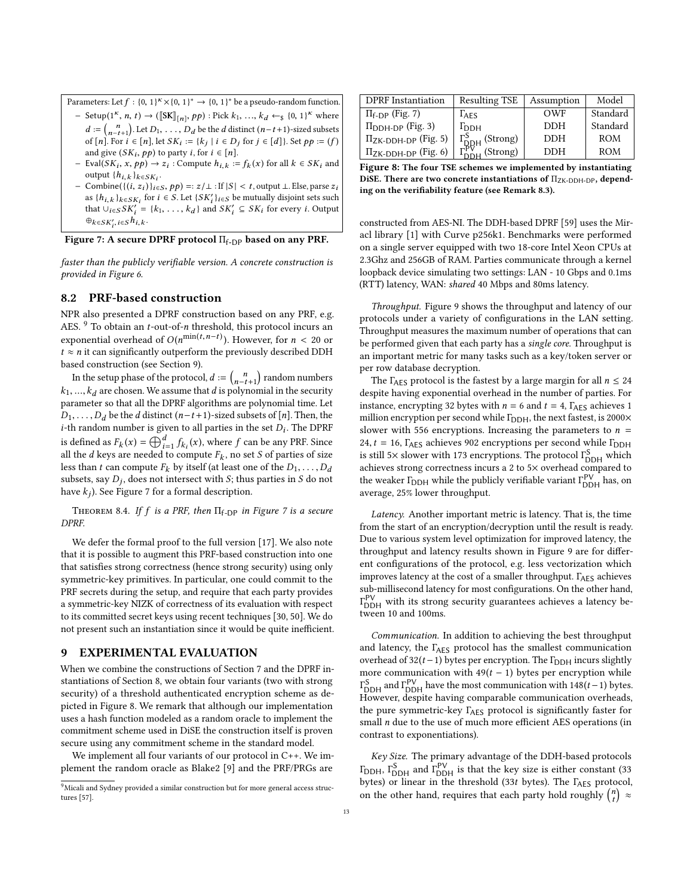<span id="page-12-3"></span>Parameters: Let  $f : \{0, 1\}^* \times \{0, 1\}^* \to \{0, 1\}^*$  be a pseudo-random function.

- $-$  Setup(1<sup>K</sup>, *n*, *t*) → ([SK]<sub>[*n*]</sub>, *pp*) : Pick *k*<sub>1</sub>, ..., *k*<sub>*d*</sub> ← § {0, 1}<sup>*K*</sup> where  $d := \binom{n}{n-t+1}$ . Let  $D_1, \ldots, D_d$  be the d distinct  $(n-t+1)$ -sized subsets<br>of  $\lceil n \rceil$ , Eas i.  $\in \lceil n \rceil$ , let  $5K$ , i.e.  $\lceil k \rceil$ , i.e.  $\lceil n \rceil$ , i.e.  $\lceil k \rceil$ ). Set  $\lceil n \rceil$ , i.e. of [n]. For  $i \in [n]$ , let  $SK_i := \{k_j \mid i \in D_j \text{ for } j \in [d]\}$ . Set  $pp := (f)$ <br>and give  $(SK, An)$  to party  $i$  for  $i \in [n]$ and give  $(SK_i, pp)$  to party *i*, for  $i \in [n]$ .<br>Evaluation  $\mathcal{F}_{k+1}(SK_i, x, pp) \rightarrow \mathcal{F}_{k+1}(S)$  compute  $h_{k+1}$ .
- − Eval(SK<sub>i</sub>, x, pp) →  $z_i$ : Compute  $h_{i,k} := f_k(x)$  for all  $k \in SK_i$  and output  $[h_{i,k}]$ output  $\{h_{i,k}\}_{k \in SK_i}$ .<br>Combine( $\{(i, \tau_i)\}_{i \in Sk_i}$ )
- − Combine({(i, z<sub>i</sub>)}<sub>i∈S</sub>, pp) =: z/⊥ : If |S| < t, output ⊥. Else, parse z<sub>i</sub><br>as *l* b + \ = = for i ∈ S Let  $\{SK'\}$ , a be mutually disjoint sets such as  $\{h_{i,k}\}_{k \in SK_i}$  for  $i \in S$ . Let  $\{SK'_i\}_{i \in S}$  be mutually disjoint sets such that  $\cup_{i \in S} SK'_i = \{k, j, k\}$  ond  $SV'_i \subseteq SK_i$  for every i. Output that  $\bigcup_{i \in S} SK_i' = \{k_1, \ldots, k_d\}$  and  $SK_i' \subseteq SK_i$  for every *i*. Output  $\oplus_{k\in SK'_i, i\in S} h_{i,k}.$

Figure 7: A secure DPRF protocol  $\Pi_{f-DP}$  based on any PRF.

faster than the publicly verifiable version. A concrete construction is provided in Figure [6.](#page-11-3)

# 8.2 PRF-based construction

NPR also presented a DPRF construction based on any PRF, e.g. AES.  $9$  To obtain an *t*-out-of-*n* threshold, this protocol incurs an exponential overhead of  $O(n^{\min(t, n-t)})$ . However, for  $n < 20$  or  $t \ge n$  it can significantly outperform the previously described DDH  $t \approx n$  it can significantly outperform the previously described DDH based construction (see Section [9\)](#page-12-2).

In the setup phase of the protocol,  $d := \binom{n}{n-t+1}$  random numbers  $k$ , are chosen. We assume that d is polynomial in the security  $k_1, ..., k_d$  are chosen. We assume that d is polynomial in the security parameter so that all the DPRF algorithms are polynomial time. Let  $D_1, \ldots, D_d$  be the d distinct (n−t+1)-sized subsets of [n]. Then, the *i*-th random number is given to all parties in the set  $D_i$ . The DPRF is defined as  $F_k(x) = \bigoplus_{i=1}^d f_{k_i}(x)$ , where f can be any PRF. Since is defined as  $F_k(x) = \bigoplus_{i=1}^r f_{k_i}(x)$ , where f can be any PRF. Since<br>all the d keys are needed to compute  $F_k$ , no set S of parties of size<br>less than t can compute  $F_k$  by itself (at least one of the D. less than t can compute  $F_k$  by itself (at least one of the  $D_1, \ldots, D_d$ subsets, say  $D_j$ , does not intersect with S; thus parties in S do not have  $k_j$ . See Figure 7 for a formal description have  $k_j$ ). See Figure [7](#page-12-3) for a formal description.

THEOREM 8.4. If f is a PRF, then  $\Pi_{f-DP}$  in Figure [7](#page-12-3) is a secure DPRF.

We defer the formal proof to the full version [\[17\]](#page-13-4). We also note that it is possible to augment this PRF-based construction into one that satisfies strong correctness (hence strong security) using only symmetric-key primitives. In particular, one could commit to the PRF secrets during the setup, and require that each party provides a symmetric-key NIZK of correctness of its evaluation with respect to its committed secret keys using recent techniques [\[30,](#page-14-44) [50\]](#page-14-45). We do not present such an instantiation since it would be quite inefficient.

### <span id="page-12-2"></span>9 EXPERIMENTAL EVALUATION

When we combine the constructions of Section [7](#page-9-3) and the DPRF instantiations of Section [8,](#page-10-1) we obtain four variants (two with strong security) of a threshold authenticated encryption scheme as depicted in Figure [8.](#page-12-0) We remark that although our implementation uses a hash function modeled as a random oracle to implement the commitment scheme used in DiSE the construction itself is proven secure using any commitment scheme in the standard model.

We implement all four variants of our protocol in C++. We implement the random oracle as Blake2 [\[9\]](#page-13-16) and the PRF/PRGs are

<span id="page-12-0"></span>

| <b>DPRF</b> Instantiation                                      | <b>Resulting TSE</b>                                                                    | Assumption | Model      |  |  |  |  |  |  |
|----------------------------------------------------------------|-----------------------------------------------------------------------------------------|------------|------------|--|--|--|--|--|--|
| $\Pi_{f-DP}$ (Fig. 7)                                          | $\Gamma_{\text{AES}}$                                                                   | OWF        | Standard   |  |  |  |  |  |  |
| $\Pi_{\text{DDH-DP}}$ (Fig. 3)                                 | $\Gamma_{\text{DDH}}$                                                                   | <b>DDH</b> | Standard   |  |  |  |  |  |  |
| $\Pi$ <sub>ZK-DDH-DP</sub> (Fig. 5)                            | $\Gamma_{\text{DDH}}^{\text{S}}$ (Strong)<br>$\Gamma_{\text{DDH}}^{\text{PV}}$ (Strong) | <b>DDH</b> | <b>ROM</b> |  |  |  |  |  |  |
| $\Pi$ <sub>ZK-DDH-DP</sub> (Fig. 6)                            |                                                                                         | <b>DDH</b> | <b>ROM</b> |  |  |  |  |  |  |
| Figure 8: The four TSE schemes we implemented by instantiating |                                                                                         |            |            |  |  |  |  |  |  |

DiSE. There are two concrete instantiations of  $\Pi_{ZK\text{-}DDH\text{-}DP}$ , depending on the verifiability feature (see Remark [8.3\)](#page-11-4).

constructed from AES-NI. The DDH-based DPRF [\[59\]](#page-14-13) uses the Miracl library [\[1\]](#page-13-17) with Curve p256k1. Benchmarks were performed on a single server equipped with two 18-core Intel Xeon CPUs at 2.3Ghz and 256GB of RAM. Parties communicate through a kernel loopback device simulating two settings: LAN - 10 Gbps and 0.1ms (RTT) latency, WAN: shared 40 Mbps and 80ms latency.

Throughput. Figure [9](#page-13-18) shows the throughput and latency of our protocols under a variety of configurations in the LAN setting. Throughput measures the maximum number of operations that can be performed given that each party has a single core. Throughput is an important metric for many tasks such as a key/token server or per row database decryption.

The  $\Gamma_{\text{AES}}$  protocol is the fastest by a large margin for all  $n \leq 24$ despite having exponential overhead in the number of parties. For instance, encrypting 32 bytes with  $n = 6$  and  $t = 4$ ,  $\Gamma_{\text{AES}}$  achieves 1 million encryption per second while  $\Gamma_{\text{DDH}}$ , the next fastest, is 2000 $\times$ slower with 556 encryptions. Increasing the parameters to  $n =$ 24,  $t = 16$ , Γ<sub>AES</sub> achieves 902 encryptions per second while  $\Gamma_{\text{DDH}}$ is still 5× slower with 173 encryptions. The protocol  $\Gamma_{\text{DDH}}^S$  which achieves strong correctness incurs a 2 to 5× overhead compared to achieves strong correctness incurs a 2 to 5× overhead compared to the weaker  $\Gamma_{\text{DDH}}$  while the publicly verifiable variant  $\Gamma_{\text{DDH}}^{\text{PV}}$  has, on average, 25% lower throughput.

Latency. Another important metric is latency. That is, the time from the start of an encryption/decryption until the result is ready. Due to various system level optimization for improved latency, the throughput and latency results shown in Figure [9](#page-13-18) are for different configurations of the protocol, e.g. less vectorization which improves latency at the cost of a smaller throughput.  $\Gamma_{\text{AES}}$  achieves sub-millisecond latency for most configurations. On the other hand, Γ tween 10 and 100ms. PV with its strong security guarantees achieves a latency be-

Communication. In addition to achieving the best throughput and latency, the  $\Gamma_{\text{AES}}$  protocol has the smallest communication overhead of 32(t-1) bytes per encryption. The  $\Gamma_{\text{DDH}}$  incurs slightly more communication with  $49(t - 1)$  bytes per encryption while Γ However, despite having comparable communication overheads, S<br>DDH and  $\Gamma_{\text{DDH}}^{\text{PV}}$  have the most communication with 148(t – 1) bytes. the pure symmetric-key  $\Gamma_{\text{AES}}$  protocol is significantly faster for small  $n$  due to the use of much more efficient AES operations (in contrast to exponentiations).

Key Size. The primary advantage of the DDH-based protocols  $\Gamma_{\text{DDH}}$ ,  $\Gamma_{\text{DDH}}^{\text{S}}$  and  $\Gamma_{\text{PDH}}^{\text{PV}}$  is that the key size is either constant (33 bytes) or linear in the threshold (33t bytes). The  $\Gamma_{\text{AES}}$  protocol, on the other hand, requires that each party hold roughly  $\binom{n}{t} \approx$ 

<span id="page-12-1"></span> $^{9}$  Micali and Sydney provided a similar construction but for more general access structures [\[57\]](#page-14-32).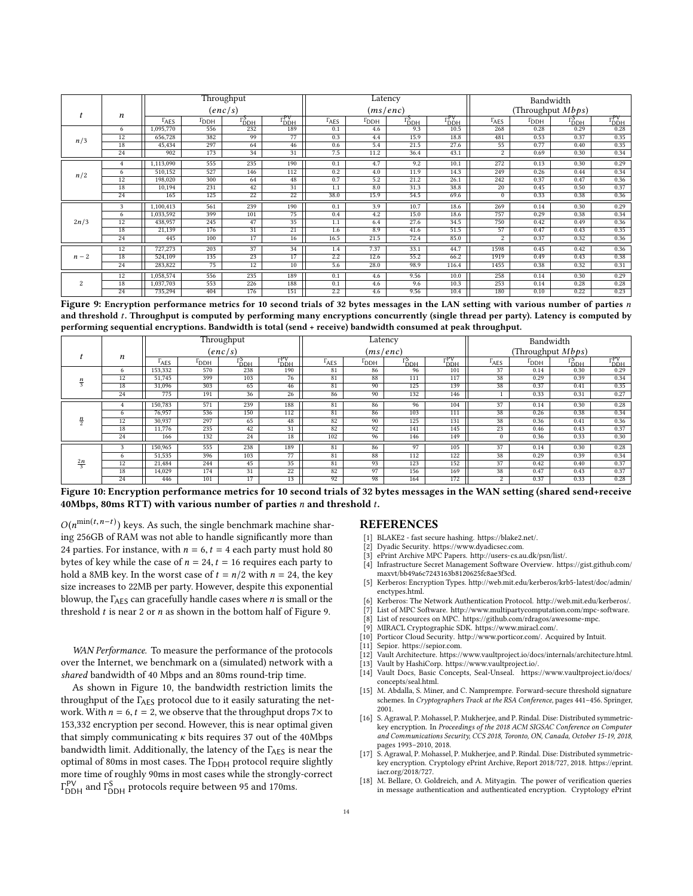<span id="page-13-18"></span>

|                    |                |                       |                         | Throughput |                 | Latency               |                       |            |                                   | Bandwidth             |                       |            |                                   |
|--------------------|----------------|-----------------------|-------------------------|------------|-----------------|-----------------------|-----------------------|------------|-----------------------------------|-----------------------|-----------------------|------------|-----------------------------------|
|                    | n              |                       |                         | (enc/s)    |                 | (ms/enc)              |                       |            |                                   | (Throughput $Mbps)$   |                       |            |                                   |
|                    |                | $\Gamma_{\text{AES}}$ | $\Gamma$ <sub>DDH</sub> | гэ<br>Орн  | tpv<br>Pddh     | $\Gamma_{\text{AES}}$ | $\Gamma_{\text{DDH}}$ | гэ<br>Рорн | $\Gamma_{\text{DDH}}^{\text{PV}}$ | $\Gamma_{\text{AES}}$ | $\Gamma_{\text{DDH}}$ | гэ<br>Тррн | $\Gamma_{\text{DDH}}^{\text{PV}}$ |
| n/3<br>n/2<br>2n/3 | 6              | 1,095,770             | 556                     | 232        | 189             | 0.1                   | 4.6                   | 9.3        | 10.5                              | 268                   | 0.28                  | 0.29       | 0.28                              |
|                    | 12             | 656,728               | 382                     | 99         | 77              | 0.3                   | 4.4                   | 15.9       | 18.8                              | 481                   | 0.53                  | 0.37       | 0.35                              |
|                    | 18             | 45,434                | 297                     | 64         | 46              | 0.6                   | 5.4                   | 21.5       | 27.6                              | 55                    | 0.77                  | 0.40       | 0.35                              |
|                    | 24             | 902                   | 173                     | 34         | $\overline{31}$ | 7.5                   | 11.2                  | 36.4       | 43.1                              | $\overline{2}$        | 0.69                  | 0.30       | 0.34                              |
|                    | $\overline{4}$ | 1,113,090             | 555                     | 235        | 190             | 0.1                   | 4.7                   | 9.2        | 10.1                              | 272                   | 0.13                  | 0.30       | 0.29                              |
|                    | 6              | 510,152               | 527                     | 146        | 112             | 0.2                   | 4.0                   | 11.9       | 14.3                              | 249                   | 0.26                  | 0.44       | 0.34                              |
|                    | 12             | 198,020               | 300                     | 64         | 48              | 0.7                   | 5.2                   | 21.2       | 26.1                              | 242                   | 0.37                  | 0.47       | 0.36                              |
|                    | 18             | 10,194                | 231                     | 42         | 31              | 1.1                   | 8.0                   | 31.3       | 38.8                              | 20                    | 0.45                  | 0.50       | 0.37                              |
|                    | 24             | 165                   | 125                     | 22         | 22              | 38.0                  | 15.9                  | 54.5       | 69.6                              | 0                     | 0.33                  | 0.38       | 0.36                              |
|                    | 3              | 1,100,413             | 561                     | 239        | 190             | 0.1                   | 3.9                   | 10.7       | 18.6                              | 269                   | 0.14                  | 0.30       | 0.29                              |
|                    | 6              | 1,033,592             | 399                     | 101        | 75              | 0.4                   | 4.2                   | 15.0       | 18.6                              | 757                   | 0.29                  | 0.38       | 0.34                              |
|                    | 12             | 438,957               | 245                     | 47         | 35              | 1.1                   | 6.4                   | 27.6       | 34.5                              | 750                   | 0.42                  | 0.49       | 0.36                              |
|                    | 18             | 21,139                | 176                     | 31         | 21              | 1.6                   | 8.9                   | 41.6       | 51.5                              | 57                    | 0.47                  | 0.43       | 0.35                              |
|                    | 24             | 445                   | 100                     | 17         | 16              | 16.5                  | 21.5                  | 72.4       | 85.0                              | $\overline{2}$        | 0.37                  | 0.32       | 0.36                              |
| $n-2$              | 12             | 727,273               | 203                     | 37         | 34              | 1.4                   | 7.37                  | 33.1       | 44.7                              | 1598                  | 0.45                  | 0.42       | 0.36                              |
|                    | 18             | 524,109               | 135                     | 23         | 17              | 2.2                   | 12.6                  | 55.2       | 66.2                              | 1919                  | 0.49                  | 0.43       | 0.38                              |
|                    | 24             | 283,822               | 75                      | 12         | 10              | 5.6                   | 28.0                  | 98.9       | 116.4                             | 1455                  | 0.38                  | 0.32       | 0.31                              |
|                    | 12             | 1,058,574             | 556                     | 235        | 189             | 0.1                   | 4.6                   | 9.56       | 10.0                              | 258                   | 0.14                  | 0.30       | 0.29                              |
| $\overline{c}$     | 18             | 1,037,703             | 553                     | 226        | 188             | 0.1                   | 4.6                   | 9.6        | 10.3                              | 253                   | 0.14                  | 0.28       | 0.28                              |
|                    | 24             | 735.294               | 404                     | 176        | 151             | 2.2                   | 4.6                   | 9.56       | 10.4                              | 180                   | 0.10                  | 0.22       | 0.23                              |

Figure 9: Encryption performance metrics for 10 second trials of 32 bytes messages in the LAN setting with various number of parties n and threshold  $t$ . Throughput is computed by performing many encryptions concurrently (single thread per party). Latency is computed by performing sequential encryptions. Bandwidth is total (send + receive) bandwidth consumed at peak throughput.

<span id="page-13-19"></span>

|                |                 |                  |                       | Throughput                       |            |                       |            | Latency    |                        | Bandwidth             |                       |                  |                        |
|----------------|-----------------|------------------|-----------------------|----------------------------------|------------|-----------------------|------------|------------|------------------------|-----------------------|-----------------------|------------------|------------------------|
|                |                 |                  |                       | (enc/s)                          |            | (ms/enc)              |            |            |                        | (Throughput $Mbps)$   |                       |                  |                        |
|                | n               | <sup>1</sup> AES | $\Gamma_{\text{DDH}}$ | $\Gamma_{\text{DDH}}^{\text{D}}$ | rpy<br>Ddh | $\Gamma_{\text{AES}}$ | <b>HOD</b> | ld<br>Louh | $_{\Gamma}$ PV<br>PDH. | $\Gamma_{\text{AES}}$ | $\Gamma_{\text{DDH}}$ | HOO <sup>1</sup> | t <sup>pv</sup><br>Ddh |
| $\frac{n}{3}$  | 6               | 153,332          | 570                   | 238                              | 190        | 81                    | 86         | 96         | 101                    | 37                    | 0.14                  | 0.30             | 0.29                   |
|                | 12              | 51,745           | 399                   | 103                              | 76         | 81                    | 88         | 111        | 117                    | 38                    | 0.29                  | 0.39             | 0.34                   |
|                | 18              | 31,096           | 303                   | 65                               | 46         | 81                    | 90         | 125        | 139                    | 38                    | 0.37                  | 0.41             | 0.35                   |
|                | 24              | 775              | 191                   | 36                               | 26         | 86                    | 90         | 132        | 146                    |                       | 0.33                  | 0.31             | 0.27                   |
| $\frac{n}{2}$  |                 | 150,783          | 571                   | 239                              | 188        | 81                    | 86         | 96         | 104                    | 37                    | 0.14                  | 0.30             | 0.28                   |
|                | 6               | 76.957           | 536                   | 150                              | 112        | 81                    | 86         | 103        | 111                    | 38                    | 0.26                  | 0.38             | 0.34                   |
|                | 12              | 30.937           | 297                   | 65                               | 48         | 82                    | 90         | 125        | 131                    | 38                    | 0.36                  | 0.41             | 0.36                   |
|                | 18              | 11,776           | 235                   | 42                               | 31         | 82                    | 92         | 141        | 145                    | 23                    | 0.46                  | 0.43             | 0.37                   |
|                | 24              | 166              | 132                   | 24                               | 18         | 102                   | 96         | 146        | 149                    | $\mathbf{0}$          | 0.36                  | 0.33             | 0.30                   |
| $\frac{2n}{3}$ | 3               | 150,965          | 555                   | 238                              | 189        | 81                    | 86         | 97         | 105                    | 37                    | 0.14                  | 0.30             | 0.28                   |
|                | 6               | 51,535           | 396                   | 103                              | 77         | 81                    | 88         | 112        | 122                    | 38                    | 0.29                  | 0.39             | 0.34                   |
|                | 12              | 21,484           | 244                   | 45                               | 35         | 81                    | 93         | 123        | 152                    | 37                    | 0.42                  | 0.40             | 0.37                   |
|                | 18              | 14,029           | 174                   | 31                               | 22         | 82                    | 97         | 156        | 169                    | 38                    | 0.47                  | 0.43             | 0.37                   |
|                | $\overline{24}$ | 446              | 101                   | 17                               | 13         | 92                    | 98         | 164        | 172                    | 2                     | 0.37                  | 0.33             | 0.28                   |

Figure 10: Encryption performance metrics for 10 second trials of 32 bytes messages in the WAN setting (shared send+receive 40Mbps, 80ms RTT) with various number of parties  $n$  and threshold  $t$ .

ing 256GB of RAM was not able to handle significantly more than  $\frac{\min(t, n-t)}{\max(1-\frac{1}{n})}$  keys. As such, the single benchmark machine shar-<br>256CB of PAM was not able to bandle significantly more than 24 parties. For instance, with  $n = 6$ ,  $t = 4$  each party must hold 80 bytes of key while the case of  $n = 24$ ,  $t = 16$  requires each party to hold a 8MB key. In the worst case of  $t = n/2$  with  $n = 24$ , the key size increases to 22MB per party. However, despite this exponential blowup, the  $\Gamma_{\text{AES}}$  can gracefully handle cases where *n* is small or the threshold  $t$  is near 2 or  $n$  as shown in the bottom half of Figure [9.](#page-13-18)

WAN Performance. To measure the performance of the protocols over the Internet, we benchmark on a (simulated) network with a shared bandwidth of 40 Mbps and an 80ms round-trip time.

As shown in Figure [10,](#page-13-19) the bandwidth restriction limits the throughput of the  $\Gamma_{\text{AES}}$  protocol due to it easily saturating the network. With  $n = 6$ ,  $t = 2$ , we observe that the throughput drops  $7 \times$  to 153,332 encryption per second. However, this is near optimal given that simply communicating  $\kappa$  bits requires 37 out of the 40Mbps bandwidth limit. Additionally, the latency of the  $\Gamma_{\text{AFS}}$  is near the optimal of 80ms in most cases. The  $\Gamma_{\rm DDH}$  protocol require slightly more time of roughly 90ms in most cases while the strongly-correct Γ  $_{\rm DDH}^{\rm PV}$  and  $\Gamma_{\rm DDH}^{\rm S}$  protocols require between 95 and 170ms.

#### REFERENCES

- <span id="page-13-17"></span>BLAKE2 - fast secure hashing. [https://blake2.net/.](https://blake2.net/)
- <span id="page-13-0"></span>[2] Dyadic Security. [https://www.dyadicsec.com.](https://www.dyadicsec.com)
- <span id="page-13-13"></span>[3] ePrint Archive MPC Papers. [http://users-cs.au.dk/psn/list/.](http://users-cs.au.dk/psn/list/)
- <span id="page-13-6"></span>[4] Infrastructure Secret Management Software Overview. [https://gist.github.com/](https://gist.github.com/maxvt/bb49a6c7243163b8120625fc8ae3f3cd) [maxvt/bb49a6c7243163b8120625fc8ae3f3cd.](https://gist.github.com/maxvt/bb49a6c7243163b8120625fc8ae3f3cd)
- <span id="page-13-9"></span>[5] Kerberos: Encryption Types. [http://web.mit.edu/kerberos/krb5-latest/doc/admin/](http://web.mit.edu/kerberos/krb5-latest/doc/admin/enctypes.html) [enctypes.html.](http://web.mit.edu/kerberos/krb5-latest/doc/admin/enctypes.html)
- <span id="page-13-8"></span>[6] Kerberos: The Network Authentication Protocol. [http://web.mit.edu/kerberos/.](http://web.mit.edu/kerberos/)
- <span id="page-13-14"></span>[7] List of MPC Software. [http://www.multipartycomputation.com/mpc-software.](http://www.multipartycomputation.com/mpc-software) [8] List of resources on MPC. https://github.com/rdragos/awesome-mpc.
- <span id="page-13-15"></span>List of resources on MPC. [https://github.com/rdragos/awesome-mpc.](https://github.com/rdragos/awesome-mpc)
- <span id="page-13-16"></span>[9] MIRACL Cryptographic SDK. [https://www.miracl.com/.](https://www.miracl.com/)
- <span id="page-13-1"></span>[10] Porticor Cloud Security. [http://www.porticor.com/.](http://www.porticor.com/) Acquired by Intuit.
- <span id="page-13-2"></span>[11] Sepior. [https://sepior.com.](https://sepior.com)
- <span id="page-13-7"></span>[12] Vault Architecture. [https://www.vaultproject.io/docs/internals/architecture.html.](https://www.vaultproject.io/docs/internals/architecture.html)
- <span id="page-13-11"></span>[13] Vault by HashiCorp. [https://www.vaultproject.io/.](https://www.vaultproject.io/)
- <span id="page-13-12"></span>[14] Vault Docs, Basic Concepts, Seal-Unseal. [https://www.vaultproject.io/docs/](https://www.vaultproject.io/docs/concepts/seal.html) [concepts/seal.html.](https://www.vaultproject.io/docs/concepts/seal.html)
- <span id="page-13-5"></span>[15] M. Abdalla, S. Miner, and C. Namprempre. Forward-secure threshold signature schemes. In Cryptographers Track at the RSA Conference, pages 441–456. Springer, 2001.
- <span id="page-13-3"></span>[16] S. Agrawal, P. Mohassel, P. Mukherjee, and P. Rindal. Dise: Distributed symmetrickey encryption. In Proceedings of the 2018 ACM SIGSAC Conference on Computer and Communications Security, CCS 2018, Toronto, ON, Canada, October 15-19, 2018, pages 1993–2010, 2018.
- <span id="page-13-4"></span>[17] S. Agrawal, P. Mohassel, P. Mukherjee, and P. Rindal. Dise: Distributed symmetrickey encryption. Cryptology ePrint Archive, Report 2018/727, 2018. [https://eprint.](https://eprint.iacr.org/2018/727) [iacr.org/2018/727.](https://eprint.iacr.org/2018/727)
- <span id="page-13-10"></span>[18] M. Bellare, O. Goldreich, and A. Mityagin. The power of verification queries in message authentication and authenticated encryption. Cryptology ePrint